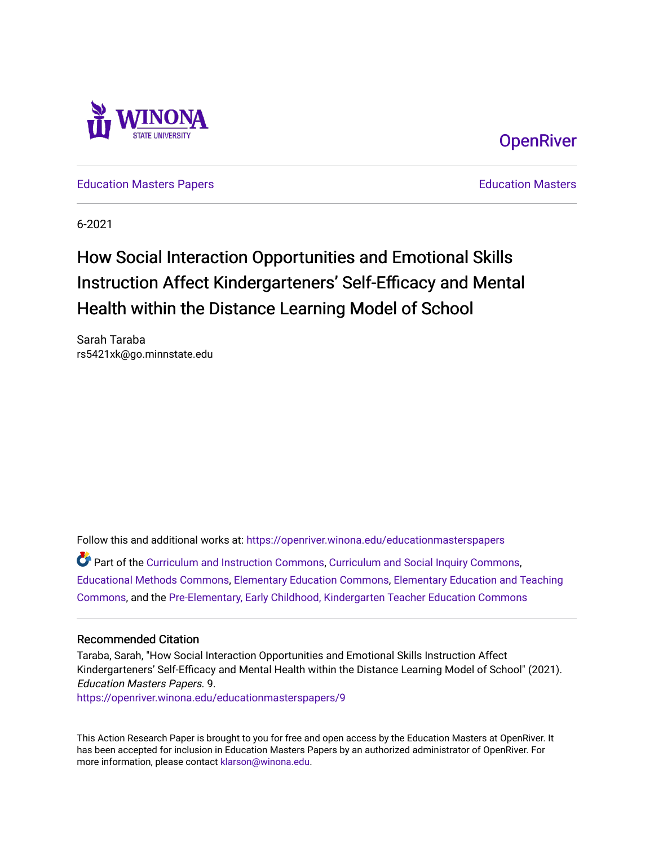



[Education Masters Papers](https://openriver.winona.edu/educationmasterspapers) **Education Masters** Papers **Education Masters** 

6-2021

# How Social Interaction Opportunities and Emotional Skills Instruction Affect Kindergarteners' Self-Efficacy and Mental Health within the Distance Learning Model of School

Sarah Taraba rs5421xk@go.minnstate.edu

Follow this and additional works at: [https://openriver.winona.edu/educationmasterspapers](https://openriver.winona.edu/educationmasterspapers?utm_source=openriver.winona.edu%2Feducationmasterspapers%2F9&utm_medium=PDF&utm_campaign=PDFCoverPages) 

Part of the [Curriculum and Instruction Commons,](http://network.bepress.com/hgg/discipline/786?utm_source=openriver.winona.edu%2Feducationmasterspapers%2F9&utm_medium=PDF&utm_campaign=PDFCoverPages) [Curriculum and Social Inquiry Commons,](http://network.bepress.com/hgg/discipline/1038?utm_source=openriver.winona.edu%2Feducationmasterspapers%2F9&utm_medium=PDF&utm_campaign=PDFCoverPages) [Educational Methods Commons,](http://network.bepress.com/hgg/discipline/1227?utm_source=openriver.winona.edu%2Feducationmasterspapers%2F9&utm_medium=PDF&utm_campaign=PDFCoverPages) [Elementary Education Commons](http://network.bepress.com/hgg/discipline/1378?utm_source=openriver.winona.edu%2Feducationmasterspapers%2F9&utm_medium=PDF&utm_campaign=PDFCoverPages), [Elementary Education and Teaching](http://network.bepress.com/hgg/discipline/805?utm_source=openriver.winona.edu%2Feducationmasterspapers%2F9&utm_medium=PDF&utm_campaign=PDFCoverPages)  [Commons](http://network.bepress.com/hgg/discipline/805?utm_source=openriver.winona.edu%2Feducationmasterspapers%2F9&utm_medium=PDF&utm_campaign=PDFCoverPages), and the [Pre-Elementary, Early Childhood, Kindergarten Teacher Education Commons](http://network.bepress.com/hgg/discipline/808?utm_source=openriver.winona.edu%2Feducationmasterspapers%2F9&utm_medium=PDF&utm_campaign=PDFCoverPages) 

### Recommended Citation

Taraba, Sarah, "How Social Interaction Opportunities and Emotional Skills Instruction Affect Kindergarteners' Self-Efficacy and Mental Health within the Distance Learning Model of School" (2021). Education Masters Papers. 9.

[https://openriver.winona.edu/educationmasterspapers/9](https://openriver.winona.edu/educationmasterspapers/9?utm_source=openriver.winona.edu%2Feducationmasterspapers%2F9&utm_medium=PDF&utm_campaign=PDFCoverPages) 

This Action Research Paper is brought to you for free and open access by the Education Masters at OpenRiver. It has been accepted for inclusion in Education Masters Papers by an authorized administrator of OpenRiver. For more information, please contact [klarson@winona.edu](mailto:klarson@winona.edu).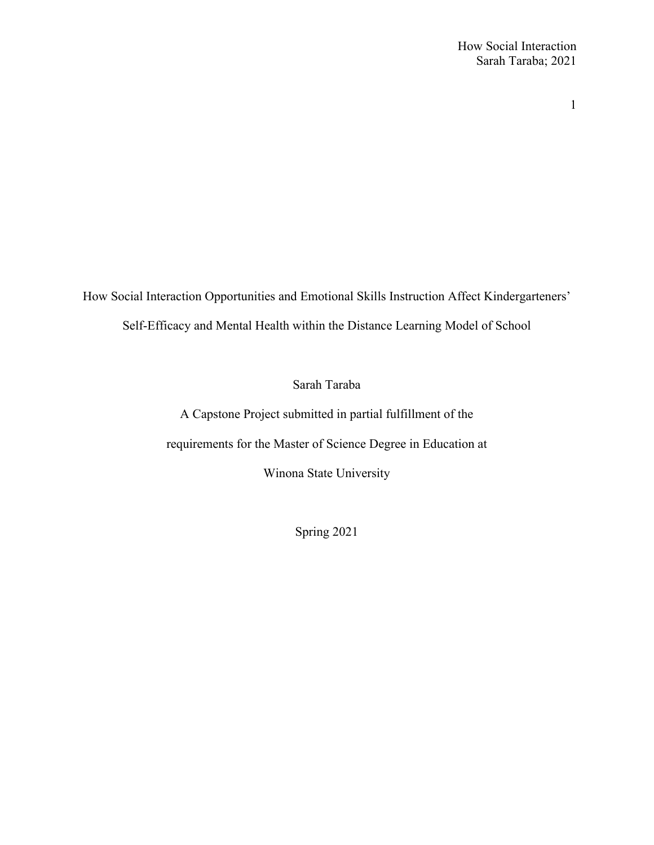How Social Interaction Opportunities and Emotional Skills Instruction Affect Kindergarteners' Self-Efficacy and Mental Health within the Distance Learning Model of School

Sarah Taraba

A Capstone Project submitted in partial fulfillment of the requirements for the Master of Science Degree in Education at Winona State University

Spring 2021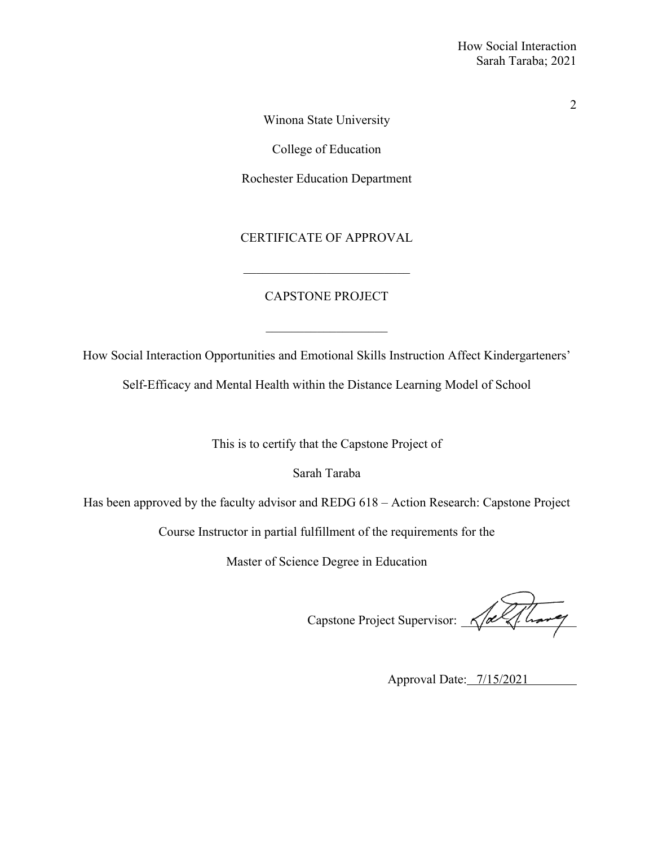Winona State University

College of Education

Rochester Education Department

CERTIFICATE OF APPROVAL

# CAPSTONE PROJECT

How Social Interaction Opportunities and Emotional Skills Instruction Affect Kindergarteners'

 $\mathcal{L}=\mathcal{L}^{\mathcal{L}}$  , where  $\mathcal{L}^{\mathcal{L}}$  , we have the set of the set of the set of the set of the set of the set of the set of the set of the set of the set of the set of the set of the set of the set of the set of

Self-Efficacy and Mental Health within the Distance Learning Model of School

This is to certify that the Capstone Project of

Sarah Taraba

Has been approved by the faculty advisor and REDG 618 – Action Research: Capstone Project

Course Instructor in partial fulfillment of the requirements for the

Master of Science Degree in Education

Capstone Project Supervisor: \_\_\_\_\_\_\_\_\_\_\_\_\_\_\_\_\_\_

Approval Date: 7/15/2021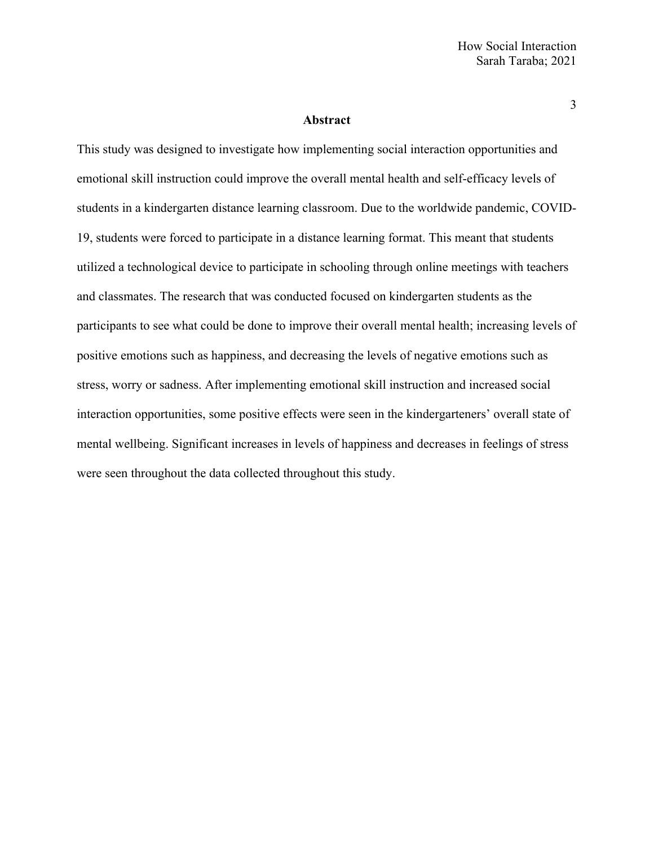### **Abstract**

This study was designed to investigate how implementing social interaction opportunities and emotional skill instruction could improve the overall mental health and self-efficacy levels of students in a kindergarten distance learning classroom. Due to the worldwide pandemic, COVID-19, students were forced to participate in a distance learning format. This meant that students utilized a technological device to participate in schooling through online meetings with teachers and classmates. The research that was conducted focused on kindergarten students as the participants to see what could be done to improve their overall mental health; increasing levels of positive emotions such as happiness, and decreasing the levels of negative emotions such as stress, worry or sadness. After implementing emotional skill instruction and increased social interaction opportunities, some positive effects were seen in the kindergarteners' overall state of mental wellbeing. Significant increases in levels of happiness and decreases in feelings of stress were seen throughout the data collected throughout this study.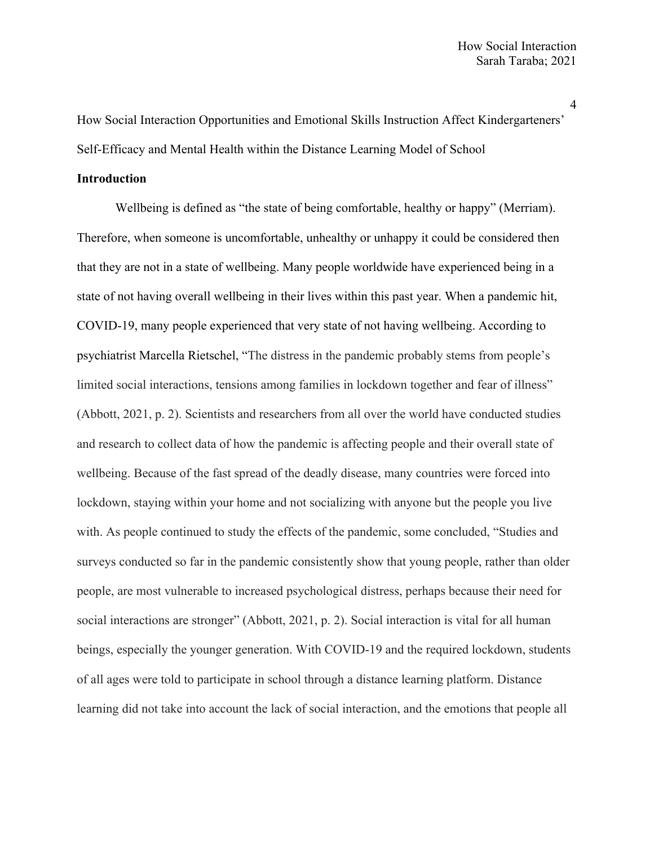How Social Interaction Opportunities and Emotional Skills Instruction Affect Kindergarteners' Self-Efficacy and Mental Health within the Distance Learning Model of School

### **Introduction**

Wellbeing is defined as "the state of being comfortable, healthy or happy" (Merriam). Therefore, when someone is uncomfortable, unhealthy or unhappy it could be considered then that they are not in a state of wellbeing. Many people worldwide have experienced being in a state of not having overall wellbeing in their lives within this past year. When a pandemic hit, COVID-19, many people experienced that very state of not having wellbeing. According to psychiatrist Marcella Rietschel, "The distress in the pandemic probably stems from people's limited social interactions, tensions among families in lockdown together and fear of illness" (Abbott, 2021, p. 2). Scientists and researchers from all over the world have conducted studies and research to collect data of how the pandemic is affecting people and their overall state of wellbeing. Because of the fast spread of the deadly disease, many countries were forced into lockdown, staying within your home and not socializing with anyone but the people you live with. As people continued to study the effects of the pandemic, some concluded, "Studies and surveys conducted so far in the pandemic consistently show that young people, rather than older people, are most vulnerable to increased psychological distress, perhaps because their need for social interactions are stronger" (Abbott, 2021, p. 2). Social interaction is vital for all human beings, especially the younger generation. With COVID-19 and the required lockdown, students of all ages were told to participate in school through a distance learning platform. Distance learning did not take into account the lack of social interaction, and the emotions that people all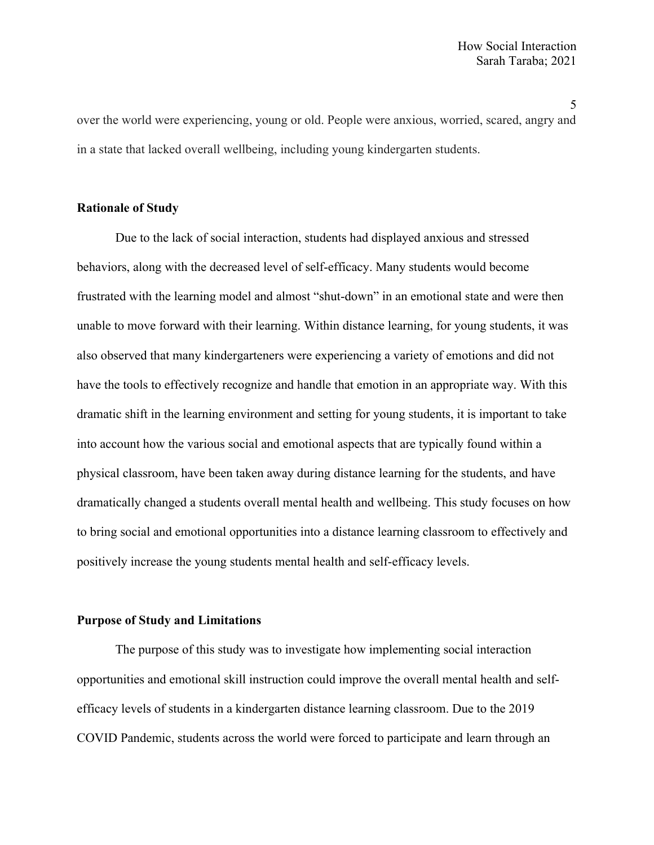over the world were experiencing, young or old. People were anxious, worried, scared, angry and in a state that lacked overall wellbeing, including young kindergarten students.

# **Rationale of Study**

Due to the lack of social interaction, students had displayed anxious and stressed behaviors, along with the decreased level of self-efficacy. Many students would become frustrated with the learning model and almost "shut-down" in an emotional state and were then unable to move forward with their learning. Within distance learning, for young students, it was also observed that many kindergarteners were experiencing a variety of emotions and did not have the tools to effectively recognize and handle that emotion in an appropriate way. With this dramatic shift in the learning environment and setting for young students, it is important to take into account how the various social and emotional aspects that are typically found within a physical classroom, have been taken away during distance learning for the students, and have dramatically changed a students overall mental health and wellbeing. This study focuses on how to bring social and emotional opportunities into a distance learning classroom to effectively and positively increase the young students mental health and self-efficacy levels.

### **Purpose of Study and Limitations**

The purpose of this study was to investigate how implementing social interaction opportunities and emotional skill instruction could improve the overall mental health and selfefficacy levels of students in a kindergarten distance learning classroom. Due to the 2019 COVID Pandemic, students across the world were forced to participate and learn through an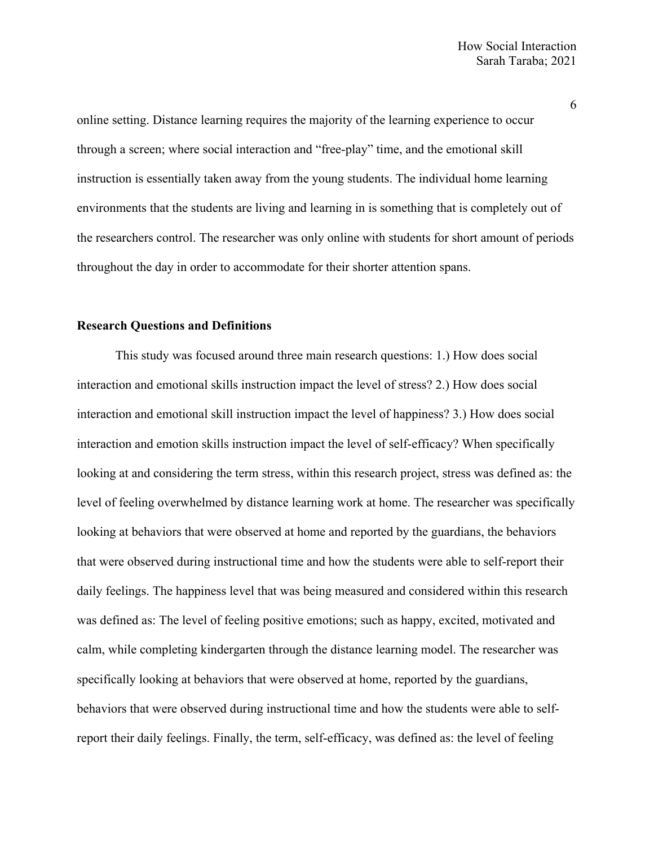online setting. Distance learning requires the majority of the learning experience to occur through a screen; where social interaction and "free-play" time, and the emotional skill instruction is essentially taken away from the young students. The individual home learning environments that the students are living and learning in is something that is completely out of the researchers control. The researcher was only online with students for short amount of periods throughout the day in order to accommodate for their shorter attention spans.

### **Research Questions and Definitions**

This study was focused around three main research questions: 1.) How does social interaction and emotional skills instruction impact the level of stress? 2.) How does social interaction and emotional skill instruction impact the level of happiness? 3.) How does social interaction and emotion skills instruction impact the level of self-efficacy? When specifically looking at and considering the term stress, within this research project, stress was defined as: the level of feeling overwhelmed by distance learning work at home. The researcher was specifically looking at behaviors that were observed at home and reported by the guardians, the behaviors that were observed during instructional time and how the students were able to self-report their daily feelings. The happiness level that was being measured and considered within this research was defined as: The level of feeling positive emotions; such as happy, excited, motivated and calm, while completing kindergarten through the distance learning model. The researcher was specifically looking at behaviors that were observed at home, reported by the guardians, behaviors that were observed during instructional time and how the students were able to selfreport their daily feelings. Finally, the term, self-efficacy, was defined as: the level of feeling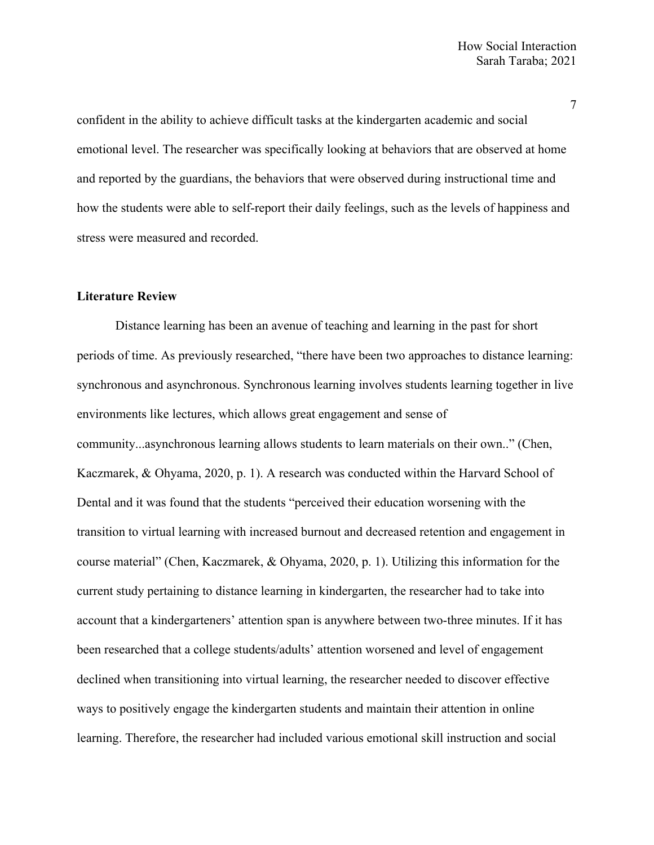confident in the ability to achieve difficult tasks at the kindergarten academic and social emotional level. The researcher was specifically looking at behaviors that are observed at home and reported by the guardians, the behaviors that were observed during instructional time and how the students were able to self-report their daily feelings, such as the levels of happiness and stress were measured and recorded.

### **Literature Review**

Distance learning has been an avenue of teaching and learning in the past for short periods of time. As previously researched, "there have been two approaches to distance learning: synchronous and asynchronous. Synchronous learning involves students learning together in live environments like lectures, which allows great engagement and sense of community...asynchronous learning allows students to learn materials on their own.." (Chen, Kaczmarek, & Ohyama, 2020, p. 1). A research was conducted within the Harvard School of Dental and it was found that the students "perceived their education worsening with the transition to virtual learning with increased burnout and decreased retention and engagement in course material" (Chen, Kaczmarek, & Ohyama, 2020, p. 1). Utilizing this information for the current study pertaining to distance learning in kindergarten, the researcher had to take into account that a kindergarteners' attention span is anywhere between two-three minutes. If it has been researched that a college students/adults' attention worsened and level of engagement declined when transitioning into virtual learning, the researcher needed to discover effective ways to positively engage the kindergarten students and maintain their attention in online learning. Therefore, the researcher had included various emotional skill instruction and social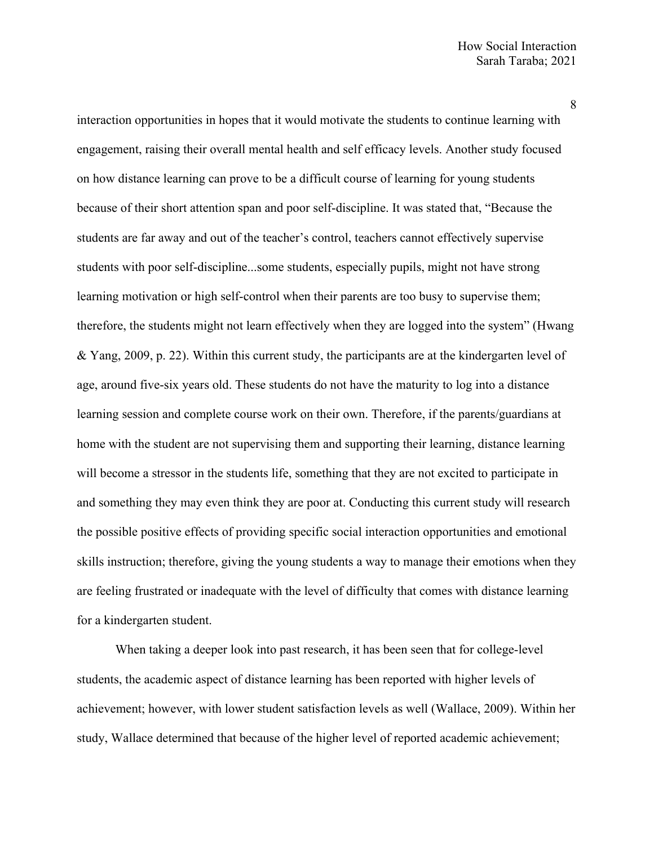interaction opportunities in hopes that it would motivate the students to continue learning with engagement, raising their overall mental health and self efficacy levels. Another study focused on how distance learning can prove to be a difficult course of learning for young students because of their short attention span and poor self-discipline. It was stated that, "Because the students are far away and out of the teacher's control, teachers cannot effectively supervise students with poor self-discipline...some students, especially pupils, might not have strong learning motivation or high self-control when their parents are too busy to supervise them; therefore, the students might not learn effectively when they are logged into the system" (Hwang & Yang, 2009, p. 22). Within this current study, the participants are at the kindergarten level of age, around five-six years old. These students do not have the maturity to log into a distance learning session and complete course work on their own. Therefore, if the parents/guardians at home with the student are not supervising them and supporting their learning, distance learning will become a stressor in the students life, something that they are not excited to participate in and something they may even think they are poor at. Conducting this current study will research the possible positive effects of providing specific social interaction opportunities and emotional skills instruction; therefore, giving the young students a way to manage their emotions when they are feeling frustrated or inadequate with the level of difficulty that comes with distance learning for a kindergarten student.

When taking a deeper look into past research, it has been seen that for college-level students, the academic aspect of distance learning has been reported with higher levels of achievement; however, with lower student satisfaction levels as well (Wallace, 2009). Within her study, Wallace determined that because of the higher level of reported academic achievement;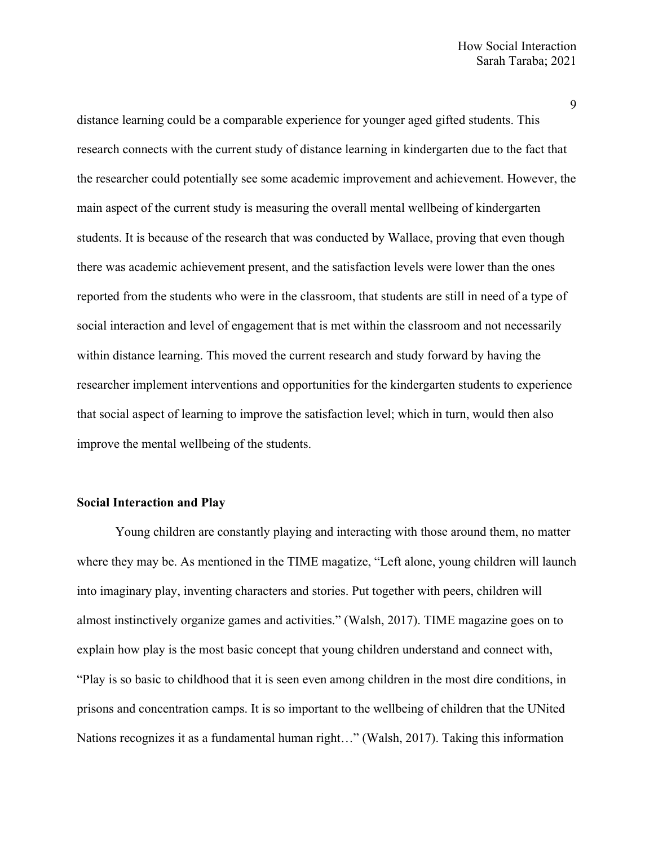distance learning could be a comparable experience for younger aged gifted students. This research connects with the current study of distance learning in kindergarten due to the fact that the researcher could potentially see some academic improvement and achievement. However, the main aspect of the current study is measuring the overall mental wellbeing of kindergarten students. It is because of the research that was conducted by Wallace, proving that even though there was academic achievement present, and the satisfaction levels were lower than the ones reported from the students who were in the classroom, that students are still in need of a type of social interaction and level of engagement that is met within the classroom and not necessarily within distance learning. This moved the current research and study forward by having the researcher implement interventions and opportunities for the kindergarten students to experience that social aspect of learning to improve the satisfaction level; which in turn, would then also improve the mental wellbeing of the students.

### **Social Interaction and Play**

Young children are constantly playing and interacting with those around them, no matter where they may be. As mentioned in the TIME magatize, "Left alone, young children will launch into imaginary play, inventing characters and stories. Put together with peers, children will almost instinctively organize games and activities." (Walsh, 2017). TIME magazine goes on to explain how play is the most basic concept that young children understand and connect with, "Play is so basic to childhood that it is seen even among children in the most dire conditions, in prisons and concentration camps. It is so important to the wellbeing of children that the UNited Nations recognizes it as a fundamental human right…" (Walsh, 2017). Taking this information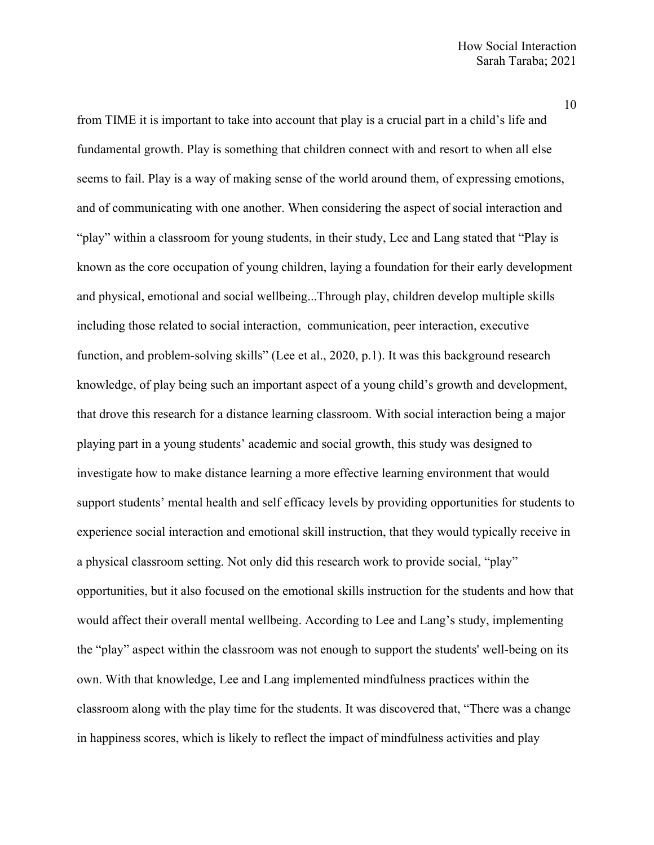from TIME it is important to take into account that play is a crucial part in a child's life and fundamental growth. Play is something that children connect with and resort to when all else seems to fail. Play is a way of making sense of the world around them, of expressing emotions, and of communicating with one another. When considering the aspect of social interaction and "play" within a classroom for young students, in their study, Lee and Lang stated that "Play is known as the core occupation of young children, laying a foundation for their early development and physical, emotional and social wellbeing...Through play, children develop multiple skills including those related to social interaction, communication, peer interaction, executive function, and problem-solving skills" (Lee et al., 2020, p.1). It was this background research knowledge, of play being such an important aspect of a young child's growth and development, that drove this research for a distance learning classroom. With social interaction being a major playing part in a young students' academic and social growth, this study was designed to investigate how to make distance learning a more effective learning environment that would support students' mental health and self efficacy levels by providing opportunities for students to experience social interaction and emotional skill instruction, that they would typically receive in a physical classroom setting. Not only did this research work to provide social, "play" opportunities, but it also focused on the emotional skills instruction for the students and how that would affect their overall mental wellbeing. According to Lee and Lang's study, implementing the "play" aspect within the classroom was not enough to support the students' well-being on its own. With that knowledge, Lee and Lang implemented mindfulness practices within the classroom along with the play time for the students. It was discovered that, "There was a change in happiness scores, which is likely to reflect the impact of mindfulness activities and play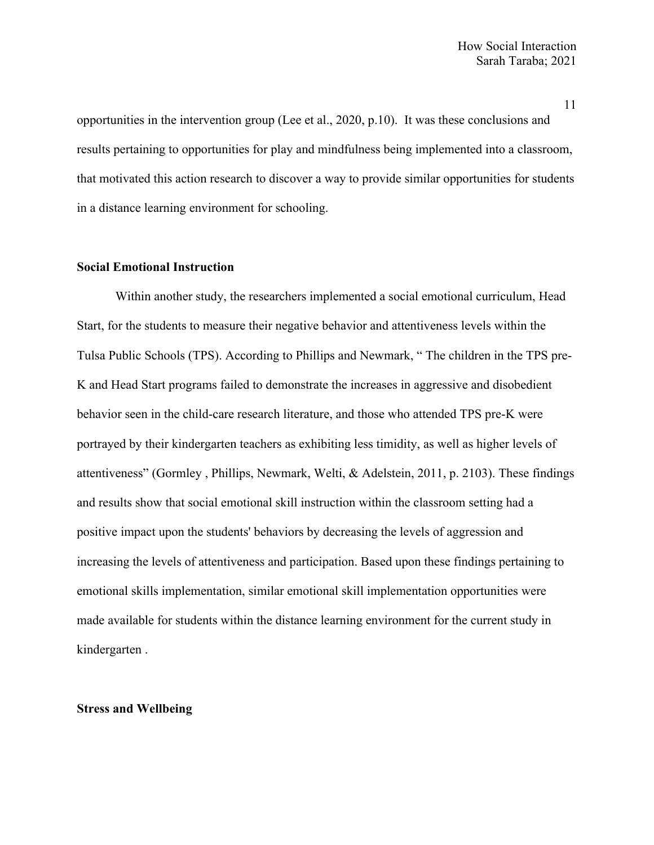opportunities in the intervention group (Lee et al., 2020, p.10). It was these conclusions and results pertaining to opportunities for play and mindfulness being implemented into a classroom, that motivated this action research to discover a way to provide similar opportunities for students in a distance learning environment for schooling.

### **Social Emotional Instruction**

Within another study, the researchers implemented a social emotional curriculum, Head Start, for the students to measure their negative behavior and attentiveness levels within the Tulsa Public Schools (TPS). According to Phillips and Newmark, " The children in the TPS pre-K and Head Start programs failed to demonstrate the increases in aggressive and disobedient behavior seen in the child-care research literature, and those who attended TPS pre-K were portrayed by their kindergarten teachers as exhibiting less timidity, as well as higher levels of attentiveness" (Gormley , Phillips, Newmark, Welti, & Adelstein, 2011, p. 2103). These findings and results show that social emotional skill instruction within the classroom setting had a positive impact upon the students' behaviors by decreasing the levels of aggression and increasing the levels of attentiveness and participation. Based upon these findings pertaining to emotional skills implementation, similar emotional skill implementation opportunities were made available for students within the distance learning environment for the current study in kindergarten .

### **Stress and Wellbeing**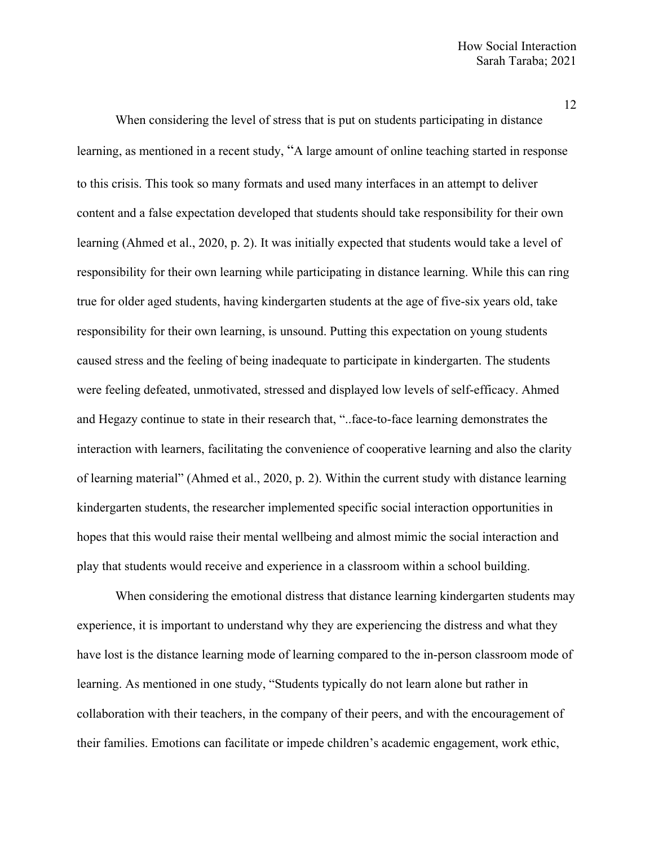When considering the level of stress that is put on students participating in distance learning, as mentioned in a recent study, "A large amount of online teaching started in response to this crisis. This took so many formats and used many interfaces in an attempt to deliver content and a false expectation developed that students should take responsibility for their own learning (Ahmed et al., 2020, p. 2). It was initially expected that students would take a level of responsibility for their own learning while participating in distance learning. While this can ring true for older aged students, having kindergarten students at the age of five-six years old, take responsibility for their own learning, is unsound. Putting this expectation on young students caused stress and the feeling of being inadequate to participate in kindergarten. The students were feeling defeated, unmotivated, stressed and displayed low levels of self-efficacy. Ahmed and Hegazy continue to state in their research that, "..face-to-face learning demonstrates the interaction with learners, facilitating the convenience of cooperative learning and also the clarity of learning material" (Ahmed et al., 2020, p. 2). Within the current study with distance learning kindergarten students, the researcher implemented specific social interaction opportunities in hopes that this would raise their mental wellbeing and almost mimic the social interaction and play that students would receive and experience in a classroom within a school building.

When considering the emotional distress that distance learning kindergarten students may experience, it is important to understand why they are experiencing the distress and what they have lost is the distance learning mode of learning compared to the in-person classroom mode of learning. As mentioned in one study, "Students typically do not learn alone but rather in collaboration with their teachers, in the company of their peers, and with the encouragement of their families. Emotions can facilitate or impede children's academic engagement, work ethic,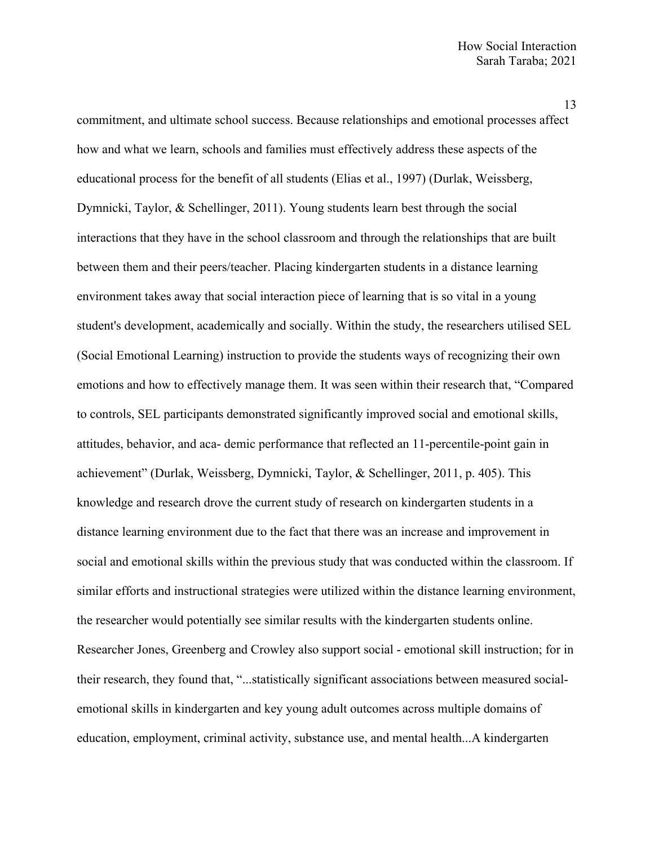commitment, and ultimate school success. Because relationships and emotional processes affect how and what we learn, schools and families must effectively address these aspects of the educational process for the benefit of all students (Elias et al., 1997) (Durlak, Weissberg, Dymnicki, Taylor, & Schellinger, 2011). Young students learn best through the social interactions that they have in the school classroom and through the relationships that are built between them and their peers/teacher. Placing kindergarten students in a distance learning environment takes away that social interaction piece of learning that is so vital in a young student's development, academically and socially. Within the study, the researchers utilised SEL (Social Emotional Learning) instruction to provide the students ways of recognizing their own emotions and how to effectively manage them. It was seen within their research that, "Compared to controls, SEL participants demonstrated significantly improved social and emotional skills, attitudes, behavior, and aca- demic performance that reflected an 11-percentile-point gain in achievement" (Durlak, Weissberg, Dymnicki, Taylor, & Schellinger, 2011, p. 405). This knowledge and research drove the current study of research on kindergarten students in a distance learning environment due to the fact that there was an increase and improvement in social and emotional skills within the previous study that was conducted within the classroom. If similar efforts and instructional strategies were utilized within the distance learning environment, the researcher would potentially see similar results with the kindergarten students online. Researcher Jones, Greenberg and Crowley also support social - emotional skill instruction; for in their research, they found that, "...statistically significant associations between measured socialemotional skills in kindergarten and key young adult outcomes across multiple domains of education, employment, criminal activity, substance use, and mental health...A kindergarten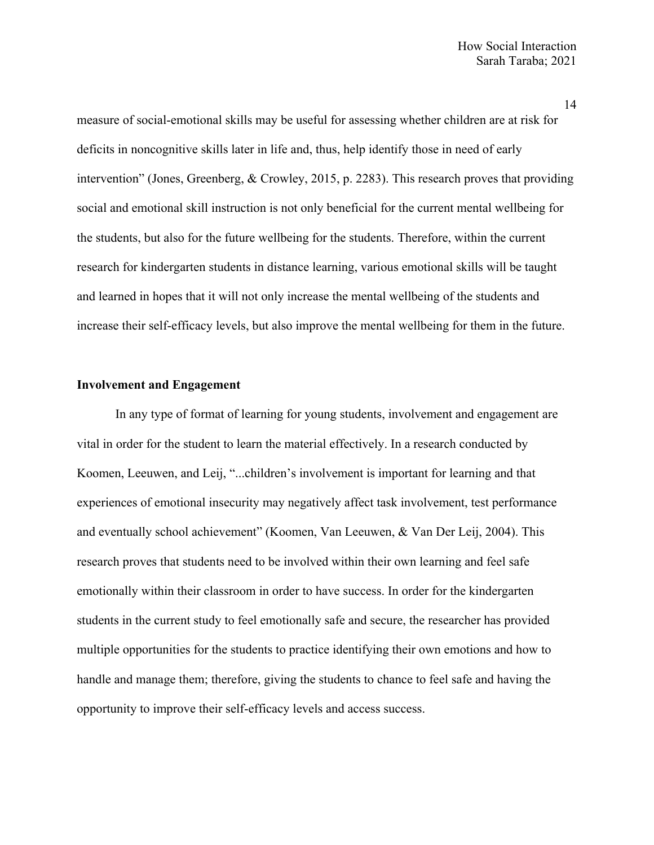measure of social-emotional skills may be useful for assessing whether children are at risk for deficits in noncognitive skills later in life and, thus, help identify those in need of early intervention" (Jones, Greenberg, & Crowley, 2015, p. 2283). This research proves that providing social and emotional skill instruction is not only beneficial for the current mental wellbeing for the students, but also for the future wellbeing for the students. Therefore, within the current research for kindergarten students in distance learning, various emotional skills will be taught and learned in hopes that it will not only increase the mental wellbeing of the students and increase their self-efficacy levels, but also improve the mental wellbeing for them in the future.

### **Involvement and Engagement**

In any type of format of learning for young students, involvement and engagement are vital in order for the student to learn the material effectively. In a research conducted by Koomen, Leeuwen, and Leij, "...children's involvement is important for learning and that experiences of emotional insecurity may negatively affect task involvement, test performance and eventually school achievement" (Koomen, Van Leeuwen, & Van Der Leij, 2004). This research proves that students need to be involved within their own learning and feel safe emotionally within their classroom in order to have success. In order for the kindergarten students in the current study to feel emotionally safe and secure, the researcher has provided multiple opportunities for the students to practice identifying their own emotions and how to handle and manage them; therefore, giving the students to chance to feel safe and having the opportunity to improve their self-efficacy levels and access success.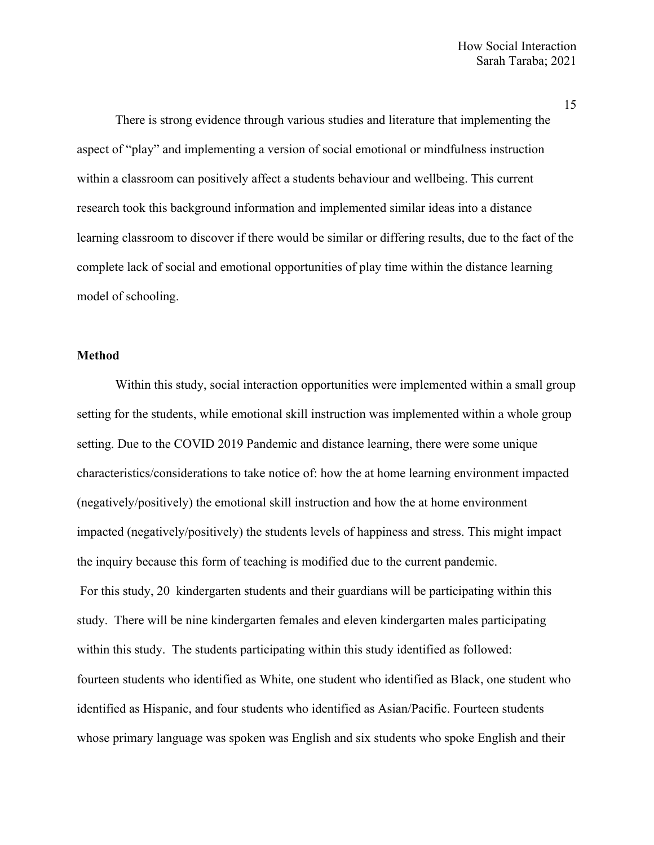There is strong evidence through various studies and literature that implementing the aspect of "play" and implementing a version of social emotional or mindfulness instruction within a classroom can positively affect a students behaviour and wellbeing. This current research took this background information and implemented similar ideas into a distance learning classroom to discover if there would be similar or differing results, due to the fact of the complete lack of social and emotional opportunities of play time within the distance learning model of schooling.

### **Method**

Within this study, social interaction opportunities were implemented within a small group setting for the students, while emotional skill instruction was implemented within a whole group setting. Due to the COVID 2019 Pandemic and distance learning, there were some unique characteristics/considerations to take notice of: how the at home learning environment impacted (negatively/positively) the emotional skill instruction and how the at home environment impacted (negatively/positively) the students levels of happiness and stress. This might impact the inquiry because this form of teaching is modified due to the current pandemic. For this study, 20 kindergarten students and their guardians will be participating within this study. There will be nine kindergarten females and eleven kindergarten males participating within this study. The students participating within this study identified as followed: fourteen students who identified as White, one student who identified as Black, one student who identified as Hispanic, and four students who identified as Asian/Pacific. Fourteen students whose primary language was spoken was English and six students who spoke English and their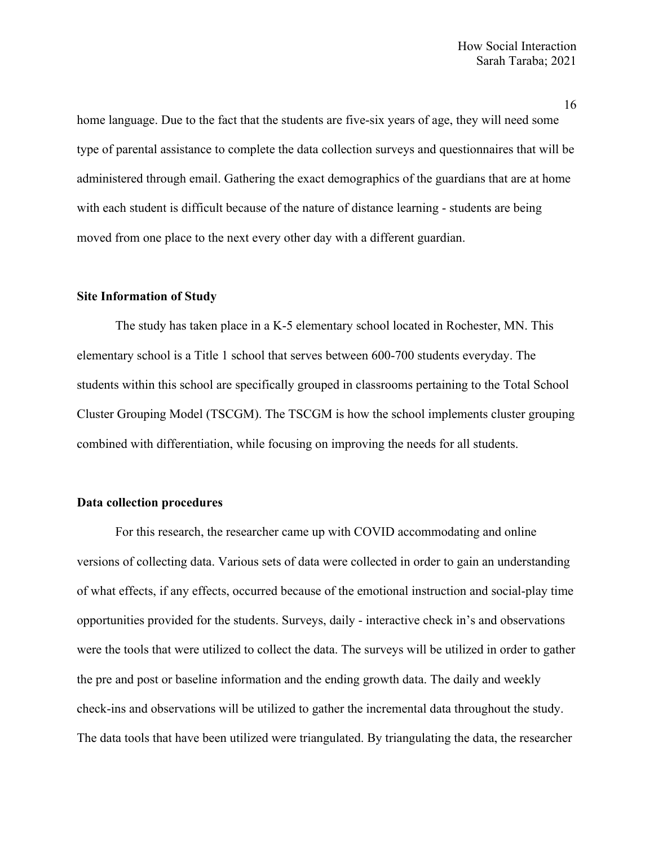home language. Due to the fact that the students are five-six years of age, they will need some type of parental assistance to complete the data collection surveys and questionnaires that will be administered through email. Gathering the exact demographics of the guardians that are at home with each student is difficult because of the nature of distance learning - students are being moved from one place to the next every other day with a different guardian.

# **Site Information of Study**

The study has taken place in a K-5 elementary school located in Rochester, MN. This elementary school is a Title 1 school that serves between 600-700 students everyday. The students within this school are specifically grouped in classrooms pertaining to the Total School Cluster Grouping Model (TSCGM). The TSCGM is how the school implements cluster grouping combined with differentiation, while focusing on improving the needs for all students.

### **Data collection procedures**

For this research, the researcher came up with COVID accommodating and online versions of collecting data. Various sets of data were collected in order to gain an understanding of what effects, if any effects, occurred because of the emotional instruction and social-play time opportunities provided for the students. Surveys, daily - interactive check in's and observations were the tools that were utilized to collect the data. The surveys will be utilized in order to gather the pre and post or baseline information and the ending growth data. The daily and weekly check-ins and observations will be utilized to gather the incremental data throughout the study. The data tools that have been utilized were triangulated. By triangulating the data, the researcher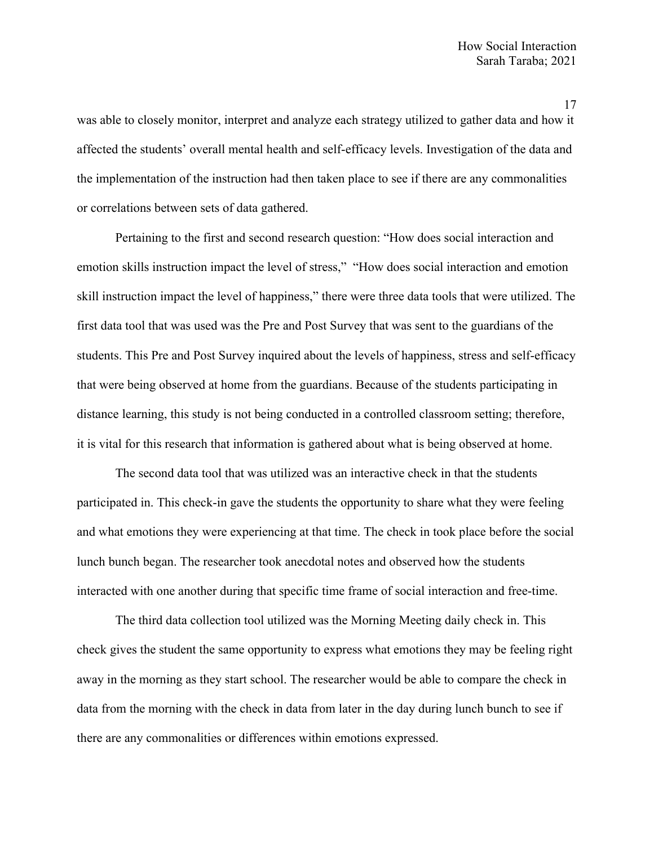was able to closely monitor, interpret and analyze each strategy utilized to gather data and how it affected the students' overall mental health and self-efficacy levels. Investigation of the data and the implementation of the instruction had then taken place to see if there are any commonalities or correlations between sets of data gathered.

Pertaining to the first and second research question: "How does social interaction and emotion skills instruction impact the level of stress," "How does social interaction and emotion skill instruction impact the level of happiness," there were three data tools that were utilized. The first data tool that was used was the Pre and Post Survey that was sent to the guardians of the students. This Pre and Post Survey inquired about the levels of happiness, stress and self-efficacy that were being observed at home from the guardians. Because of the students participating in distance learning, this study is not being conducted in a controlled classroom setting; therefore, it is vital for this research that information is gathered about what is being observed at home.

The second data tool that was utilized was an interactive check in that the students participated in. This check-in gave the students the opportunity to share what they were feeling and what emotions they were experiencing at that time. The check in took place before the social lunch bunch began. The researcher took anecdotal notes and observed how the students interacted with one another during that specific time frame of social interaction and free-time.

The third data collection tool utilized was the Morning Meeting daily check in. This check gives the student the same opportunity to express what emotions they may be feeling right away in the morning as they start school. The researcher would be able to compare the check in data from the morning with the check in data from later in the day during lunch bunch to see if there are any commonalities or differences within emotions expressed.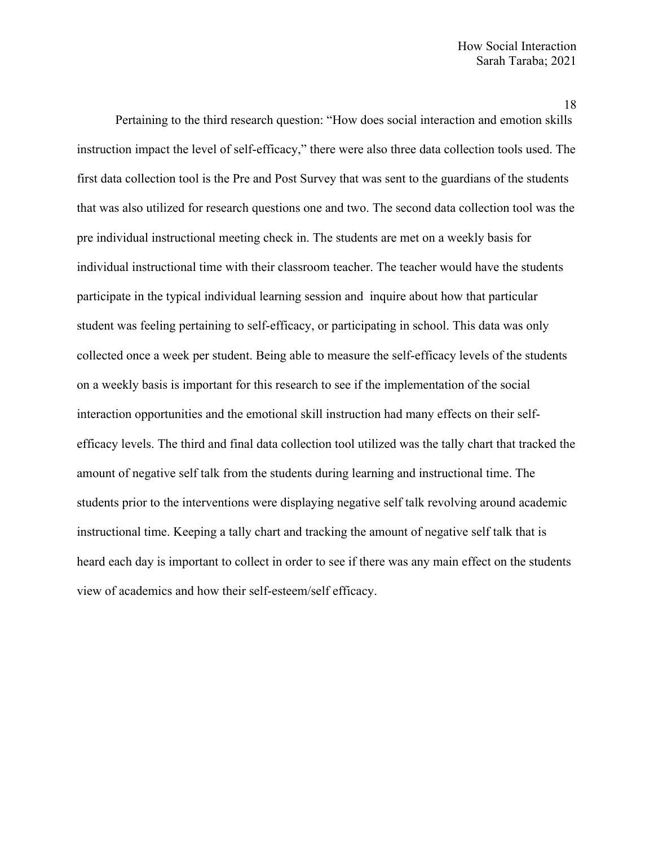Pertaining to the third research question: "How does social interaction and emotion skills instruction impact the level of self-efficacy," there were also three data collection tools used. The first data collection tool is the Pre and Post Survey that was sent to the guardians of the students that was also utilized for research questions one and two. The second data collection tool was the pre individual instructional meeting check in. The students are met on a weekly basis for individual instructional time with their classroom teacher. The teacher would have the students participate in the typical individual learning session and inquire about how that particular student was feeling pertaining to self-efficacy, or participating in school. This data was only collected once a week per student. Being able to measure the self-efficacy levels of the students on a weekly basis is important for this research to see if the implementation of the social interaction opportunities and the emotional skill instruction had many effects on their selfefficacy levels. The third and final data collection tool utilized was the tally chart that tracked the amount of negative self talk from the students during learning and instructional time. The students prior to the interventions were displaying negative self talk revolving around academic instructional time. Keeping a tally chart and tracking the amount of negative self talk that is heard each day is important to collect in order to see if there was any main effect on the students view of academics and how their self-esteem/self efficacy.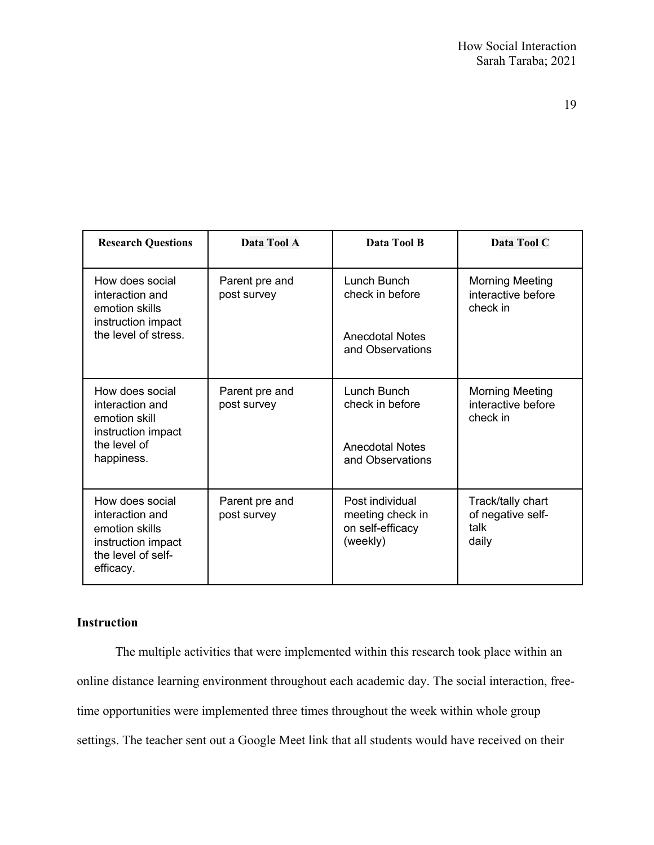| <b>Research Questions</b>                                                                                     | Data Tool A                   | Data Tool B                                                         | Data Tool C                                              |
|---------------------------------------------------------------------------------------------------------------|-------------------------------|---------------------------------------------------------------------|----------------------------------------------------------|
| How does social<br>interaction and<br>emotion skills<br>instruction impact                                    | Parent pre and<br>post survey | Lunch Bunch<br>check in before                                      | <b>Morning Meeting</b><br>interactive before<br>check in |
| the level of stress.                                                                                          |                               | <b>Anecdotal Notes</b><br>and Observations                          |                                                          |
| How does social<br>interaction and<br>emotion skill<br>instruction impact                                     | Parent pre and<br>post survey | Lunch Bunch<br>check in before                                      | <b>Morning Meeting</b><br>interactive before<br>check in |
| the level of<br>happiness.                                                                                    |                               | <b>Anecdotal Notes</b><br>and Observations                          |                                                          |
| How does social<br>interaction and<br>emotion skills<br>instruction impact<br>the level of self-<br>efficacy. | Parent pre and<br>post survey | Post individual<br>meeting check in<br>on self-efficacy<br>(weekly) | Track/tally chart<br>of negative self-<br>talk<br>daily  |

# **Instruction**

The multiple activities that were implemented within this research took place within an online distance learning environment throughout each academic day. The social interaction, freetime opportunities were implemented three times throughout the week within whole group settings. The teacher sent out a Google Meet link that all students would have received on their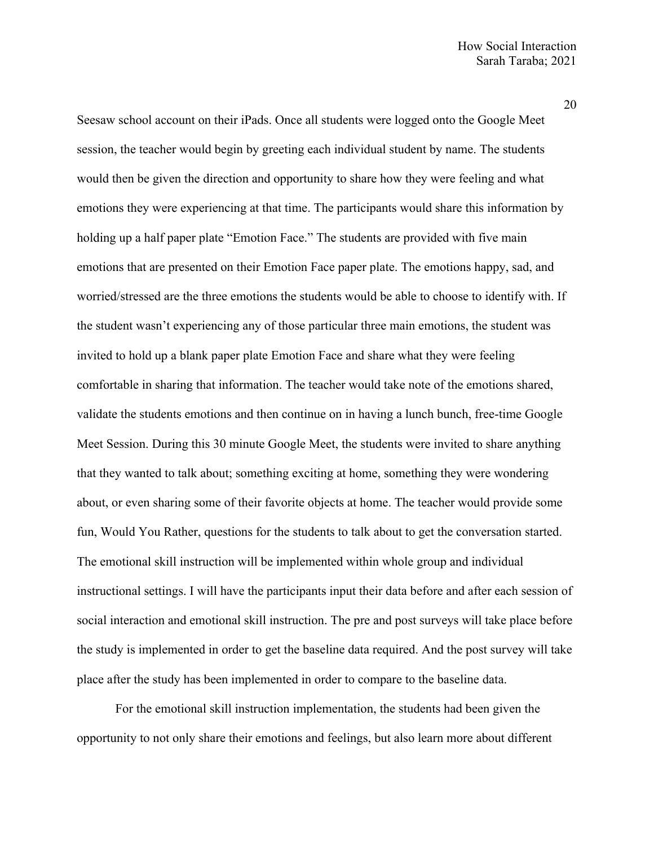Seesaw school account on their iPads. Once all students were logged onto the Google Meet session, the teacher would begin by greeting each individual student by name. The students would then be given the direction and opportunity to share how they were feeling and what emotions they were experiencing at that time. The participants would share this information by holding up a half paper plate "Emotion Face." The students are provided with five main emotions that are presented on their Emotion Face paper plate. The emotions happy, sad, and worried/stressed are the three emotions the students would be able to choose to identify with. If the student wasn't experiencing any of those particular three main emotions, the student was invited to hold up a blank paper plate Emotion Face and share what they were feeling comfortable in sharing that information. The teacher would take note of the emotions shared, validate the students emotions and then continue on in having a lunch bunch, free-time Google Meet Session. During this 30 minute Google Meet, the students were invited to share anything that they wanted to talk about; something exciting at home, something they were wondering about, or even sharing some of their favorite objects at home. The teacher would provide some fun, Would You Rather, questions for the students to talk about to get the conversation started. The emotional skill instruction will be implemented within whole group and individual instructional settings. I will have the participants input their data before and after each session of social interaction and emotional skill instruction. The pre and post surveys will take place before the study is implemented in order to get the baseline data required. And the post survey will take place after the study has been implemented in order to compare to the baseline data.

For the emotional skill instruction implementation, the students had been given the opportunity to not only share their emotions and feelings, but also learn more about different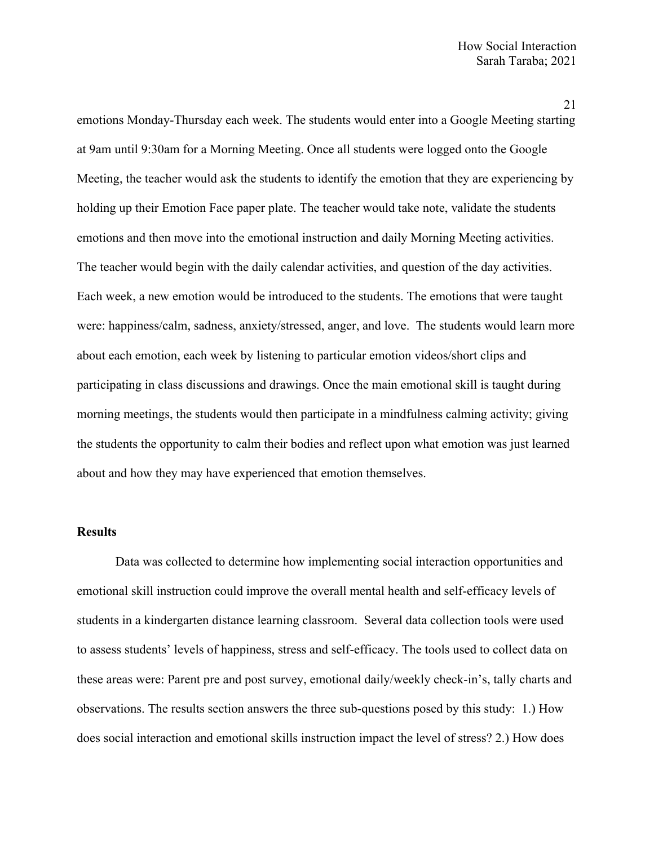emotions Monday-Thursday each week. The students would enter into a Google Meeting starting at 9am until 9:30am for a Morning Meeting. Once all students were logged onto the Google Meeting, the teacher would ask the students to identify the emotion that they are experiencing by holding up their Emotion Face paper plate. The teacher would take note, validate the students emotions and then move into the emotional instruction and daily Morning Meeting activities. The teacher would begin with the daily calendar activities, and question of the day activities. Each week, a new emotion would be introduced to the students. The emotions that were taught were: happiness/calm, sadness, anxiety/stressed, anger, and love. The students would learn more about each emotion, each week by listening to particular emotion videos/short clips and participating in class discussions and drawings. Once the main emotional skill is taught during morning meetings, the students would then participate in a mindfulness calming activity; giving the students the opportunity to calm their bodies and reflect upon what emotion was just learned about and how they may have experienced that emotion themselves.

### **Results**

Data was collected to determine how implementing social interaction opportunities and emotional skill instruction could improve the overall mental health and self-efficacy levels of students in a kindergarten distance learning classroom. Several data collection tools were used to assess students' levels of happiness, stress and self-efficacy. The tools used to collect data on these areas were: Parent pre and post survey, emotional daily/weekly check-in's, tally charts and observations. The results section answers the three sub-questions posed by this study: 1.) How does social interaction and emotional skills instruction impact the level of stress? 2.) How does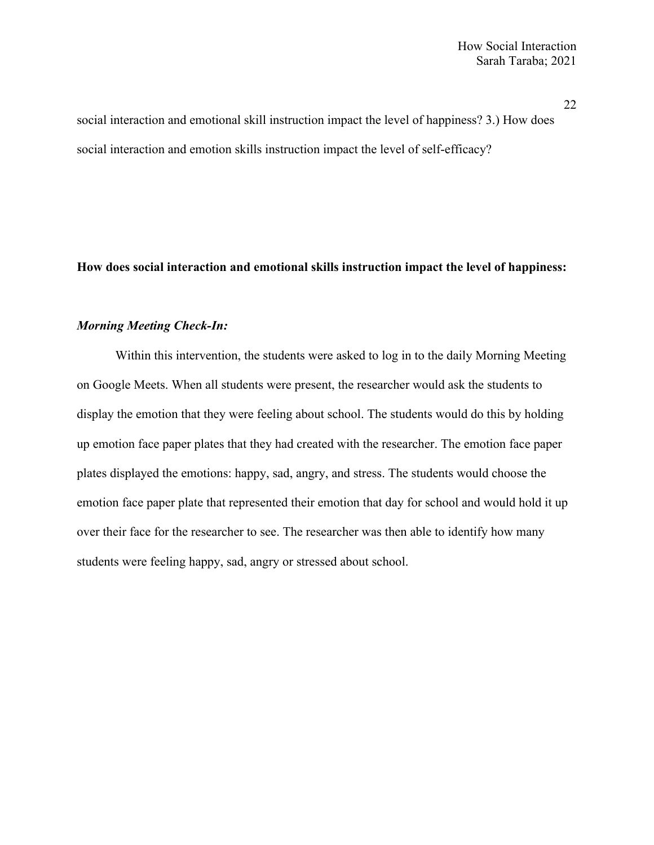social interaction and emotional skill instruction impact the level of happiness? 3.) How does social interaction and emotion skills instruction impact the level of self-efficacy?

# **How does social interaction and emotional skills instruction impact the level of happiness:**

# *Morning Meeting Check-In:*

Within this intervention, the students were asked to log in to the daily Morning Meeting on Google Meets. When all students were present, the researcher would ask the students to display the emotion that they were feeling about school. The students would do this by holding up emotion face paper plates that they had created with the researcher. The emotion face paper plates displayed the emotions: happy, sad, angry, and stress. The students would choose the emotion face paper plate that represented their emotion that day for school and would hold it up over their face for the researcher to see. The researcher was then able to identify how many students were feeling happy, sad, angry or stressed about school.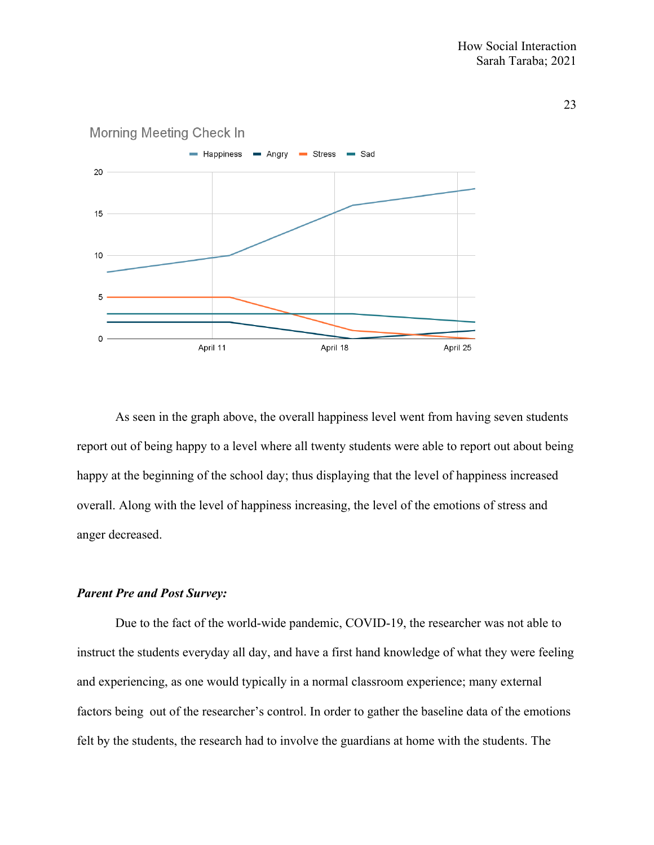

# Morning Meeting Check In

As seen in the graph above, the overall happiness level went from having seven students report out of being happy to a level where all twenty students were able to report out about being happy at the beginning of the school day; thus displaying that the level of happiness increased overall. Along with the level of happiness increasing, the level of the emotions of stress and anger decreased.

### *Parent Pre and Post Survey:*

Due to the fact of the world-wide pandemic, COVID-19, the researcher was not able to instruct the students everyday all day, and have a first hand knowledge of what they were feeling and experiencing, as one would typically in a normal classroom experience; many external factors being out of the researcher's control. In order to gather the baseline data of the emotions felt by the students, the research had to involve the guardians at home with the students. The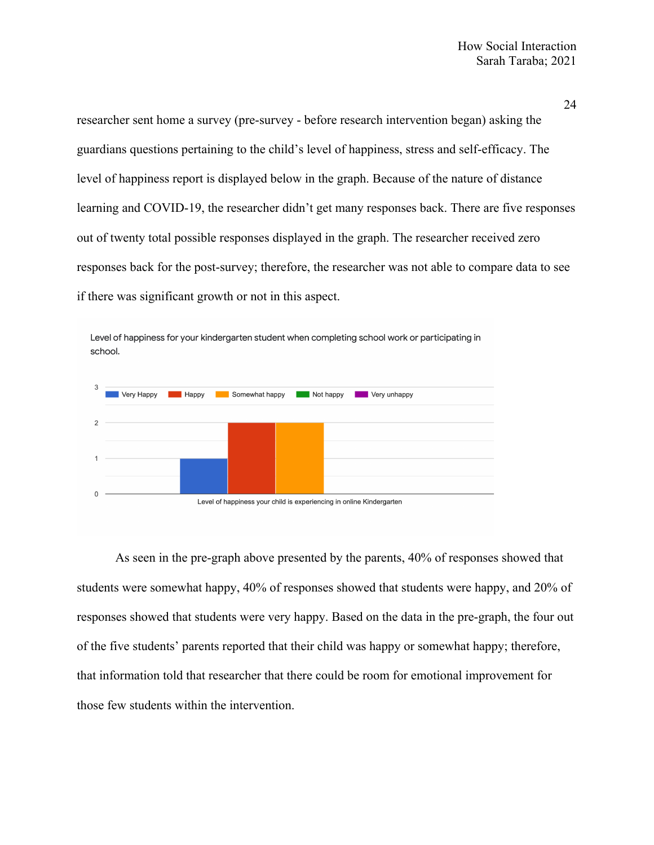researcher sent home a survey (pre-survey - before research intervention began) asking the guardians questions pertaining to the child's level of happiness, stress and self-efficacy. The level of happiness report is displayed below in the graph. Because of the nature of distance learning and COVID-19, the researcher didn't get many responses back. There are five responses out of twenty total possible responses displayed in the graph. The researcher received zero responses back for the post-survey; therefore, the researcher was not able to compare data to see if there was significant growth or not in this aspect.



Level of happiness for your kindergarten student when completing school work or participating in school.

As seen in the pre-graph above presented by the parents, 40% of responses showed that students were somewhat happy, 40% of responses showed that students were happy, and 20% of responses showed that students were very happy. Based on the data in the pre-graph, the four out of the five students' parents reported that their child was happy or somewhat happy; therefore, that information told that researcher that there could be room for emotional improvement for those few students within the intervention.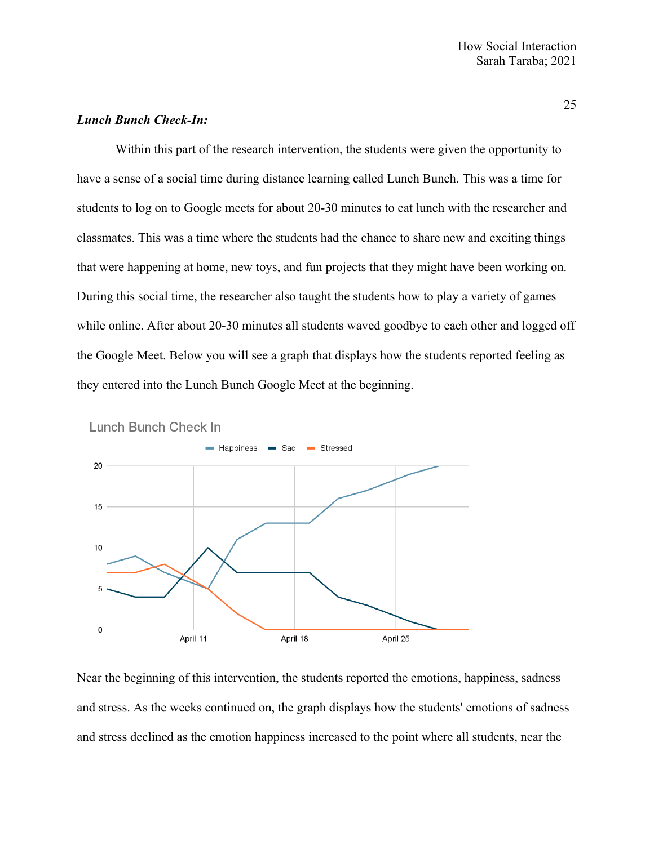# *Lunch Bunch Check-In:*

Within this part of the research intervention, the students were given the opportunity to have a sense of a social time during distance learning called Lunch Bunch. This was a time for students to log on to Google meets for about 20-30 minutes to eat lunch with the researcher and classmates. This was a time where the students had the chance to share new and exciting things that were happening at home, new toys, and fun projects that they might have been working on. During this social time, the researcher also taught the students how to play a variety of games while online. After about 20-30 minutes all students waved goodbye to each other and logged off the Google Meet. Below you will see a graph that displays how the students reported feeling as they entered into the Lunch Bunch Google Meet at the beginning.



Lunch Bunch Check In

Near the beginning of this intervention, the students reported the emotions, happiness, sadness and stress. As the weeks continued on, the graph displays how the students' emotions of sadness and stress declined as the emotion happiness increased to the point where all students, near the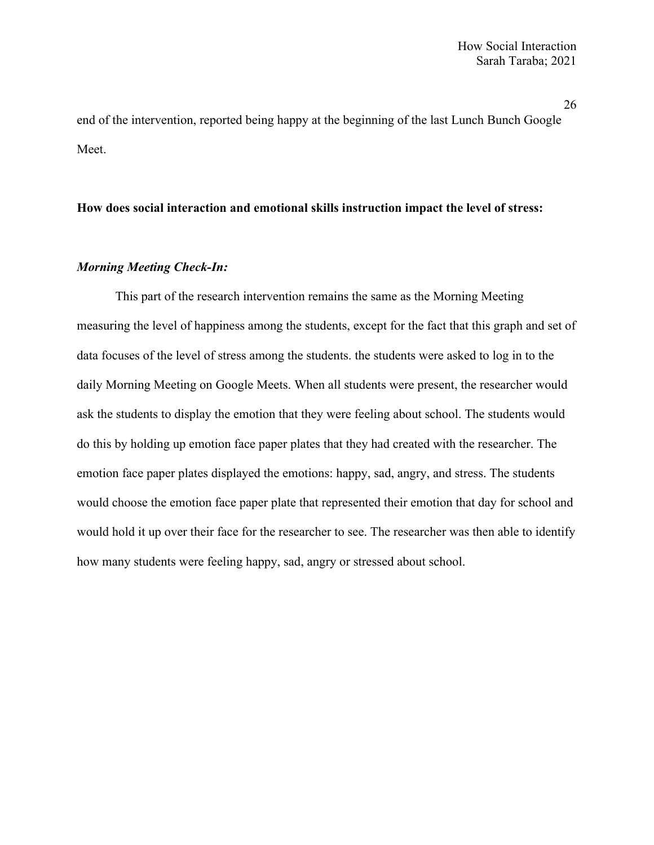end of the intervention, reported being happy at the beginning of the last Lunch Bunch Google Meet.

# **How does social interaction and emotional skills instruction impact the level of stress:**

# *Morning Meeting Check-In:*

This part of the research intervention remains the same as the Morning Meeting measuring the level of happiness among the students, except for the fact that this graph and set of data focuses of the level of stress among the students. the students were asked to log in to the daily Morning Meeting on Google Meets. When all students were present, the researcher would ask the students to display the emotion that they were feeling about school. The students would do this by holding up emotion face paper plates that they had created with the researcher. The emotion face paper plates displayed the emotions: happy, sad, angry, and stress. The students would choose the emotion face paper plate that represented their emotion that day for school and would hold it up over their face for the researcher to see. The researcher was then able to identify how many students were feeling happy, sad, angry or stressed about school.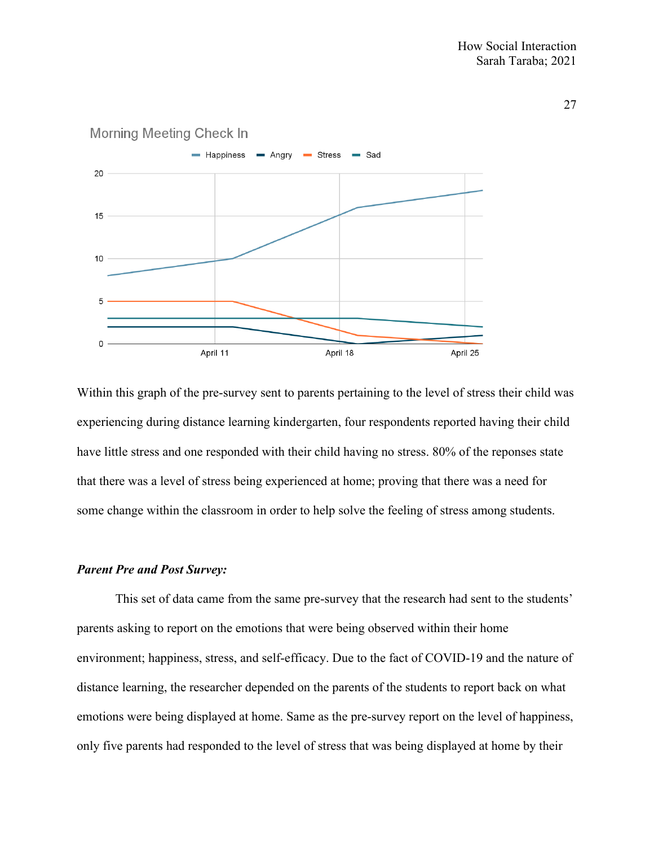

### **Morning Meeting Check In**

Within this graph of the pre-survey sent to parents pertaining to the level of stress their child was experiencing during distance learning kindergarten, four respondents reported having their child have little stress and one responded with their child having no stress. 80% of the reponses state that there was a level of stress being experienced at home; proving that there was a need for some change within the classroom in order to help solve the feeling of stress among students.

# *Parent Pre and Post Survey:*

This set of data came from the same pre-survey that the research had sent to the students' parents asking to report on the emotions that were being observed within their home environment; happiness, stress, and self-efficacy. Due to the fact of COVID-19 and the nature of distance learning, the researcher depended on the parents of the students to report back on what emotions were being displayed at home. Same as the pre-survey report on the level of happiness, only five parents had responded to the level of stress that was being displayed at home by their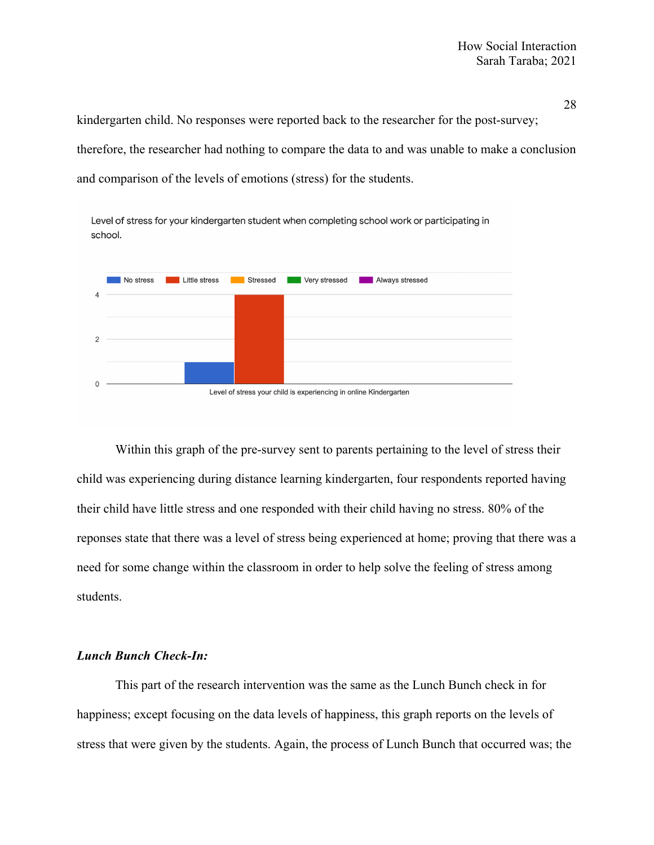kindergarten child. No responses were reported back to the researcher for the post-survey; therefore, the researcher had nothing to compare the data to and was unable to make a conclusion and comparison of the levels of emotions (stress) for the students.





Within this graph of the pre-survey sent to parents pertaining to the level of stress their child was experiencing during distance learning kindergarten, four respondents reported having their child have little stress and one responded with their child having no stress. 80% of the reponses state that there was a level of stress being experienced at home; proving that there was a need for some change within the classroom in order to help solve the feeling of stress among students.

### *Lunch Bunch Check-In:*

This part of the research intervention was the same as the Lunch Bunch check in for happiness; except focusing on the data levels of happiness, this graph reports on the levels of stress that were given by the students. Again, the process of Lunch Bunch that occurred was; the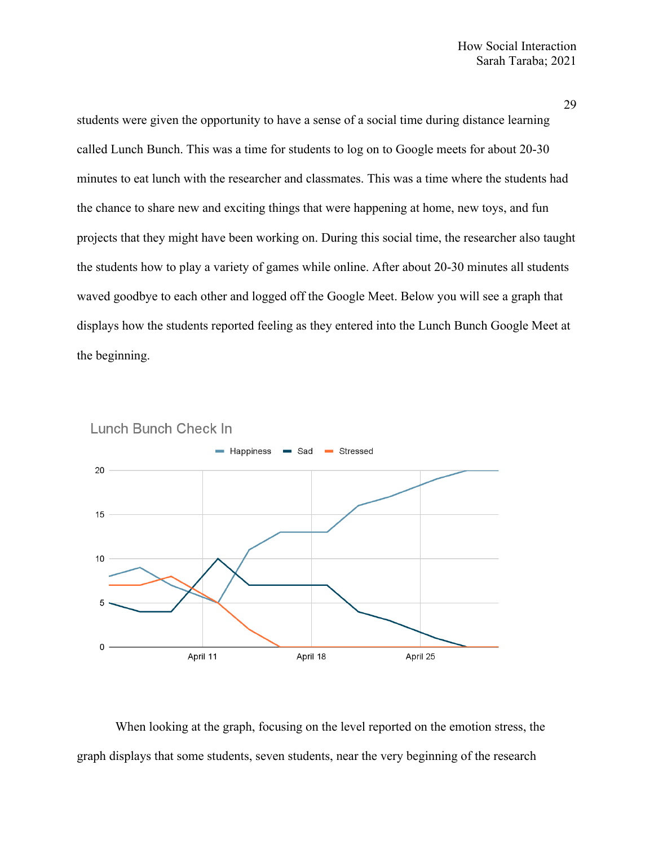students were given the opportunity to have a sense of a social time during distance learning called Lunch Bunch. This was a time for students to log on to Google meets for about 20-30 minutes to eat lunch with the researcher and classmates. This was a time where the students had the chance to share new and exciting things that were happening at home, new toys, and fun projects that they might have been working on. During this social time, the researcher also taught the students how to play a variety of games while online. After about 20-30 minutes all students waved goodbye to each other and logged off the Google Meet. Below you will see a graph that displays how the students reported feeling as they entered into the Lunch Bunch Google Meet at the beginning.





When looking at the graph, focusing on the level reported on the emotion stress, the graph displays that some students, seven students, near the very beginning of the research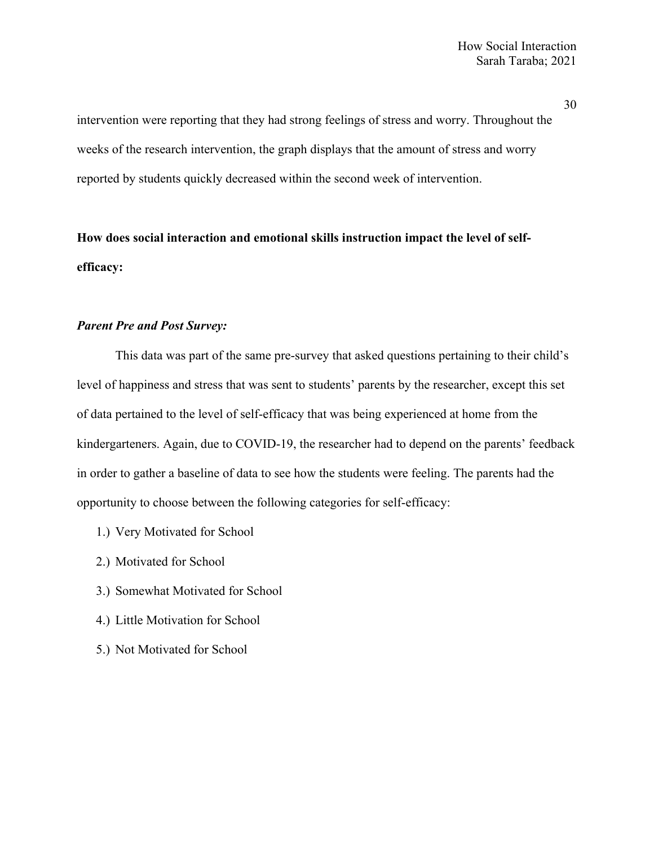intervention were reporting that they had strong feelings of stress and worry. Throughout the weeks of the research intervention, the graph displays that the amount of stress and worry reported by students quickly decreased within the second week of intervention.

**How does social interaction and emotional skills instruction impact the level of selfefficacy:**

### *Parent Pre and Post Survey:*

This data was part of the same pre-survey that asked questions pertaining to their child's level of happiness and stress that was sent to students' parents by the researcher, except this set of data pertained to the level of self-efficacy that was being experienced at home from the kindergarteners. Again, due to COVID-19, the researcher had to depend on the parents' feedback in order to gather a baseline of data to see how the students were feeling. The parents had the opportunity to choose between the following categories for self-efficacy:

- 1.) Very Motivated for School
- 2.) Motivated for School
- 3.) Somewhat Motivated for School
- 4.) Little Motivation for School
- 5.) Not Motivated for School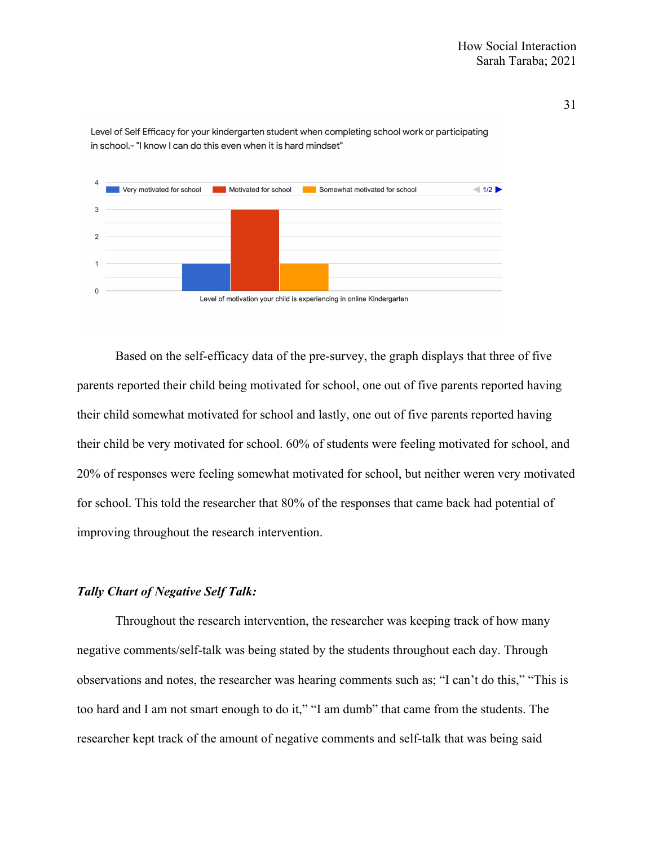

Level of Self Efficacy for your kindergarten student when completing school work or participating in school.- "I know I can do this even when it is hard mindset"

Based on the self-efficacy data of the pre-survey, the graph displays that three of five parents reported their child being motivated for school, one out of five parents reported having their child somewhat motivated for school and lastly, one out of five parents reported having their child be very motivated for school. 60% of students were feeling motivated for school, and 20% of responses were feeling somewhat motivated for school, but neither weren very motivated for school. This told the researcher that 80% of the responses that came back had potential of improving throughout the research intervention.

### *Tally Chart of Negative Self Talk:*

Throughout the research intervention, the researcher was keeping track of how many negative comments/self-talk was being stated by the students throughout each day. Through observations and notes, the researcher was hearing comments such as; "I can't do this," "This is too hard and I am not smart enough to do it," "I am dumb" that came from the students. The researcher kept track of the amount of negative comments and self-talk that was being said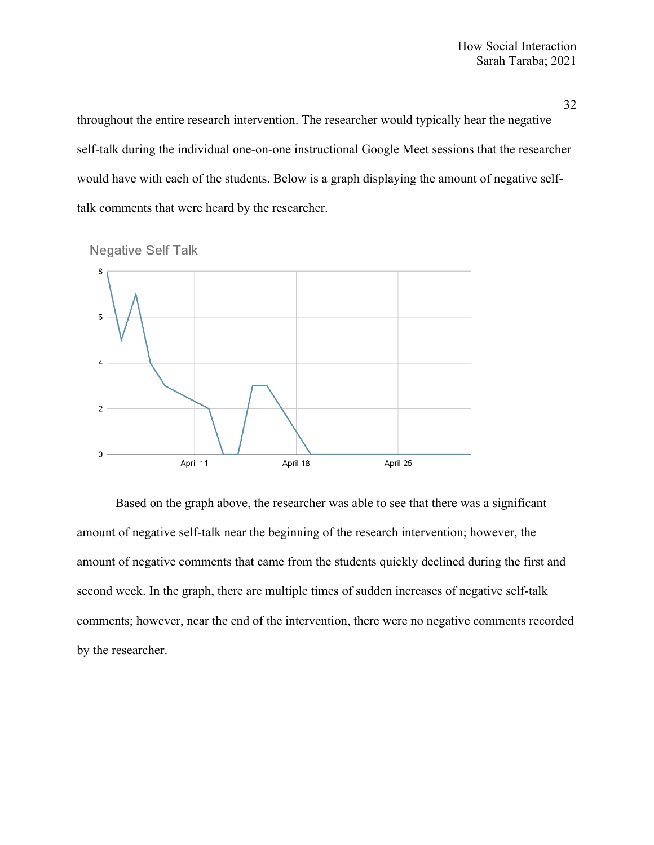throughout the entire research intervention. The researcher would typically hear the negative self-talk during the individual one-on-one instructional Google Meet sessions that the researcher would have with each of the students. Below is a graph displaying the amount of negative selftalk comments that were heard by the researcher.



**Negative Self Talk** 

Based on the graph above, the researcher was able to see that there was a significant amount of negative self-talk near the beginning of the research intervention; however, the amount of negative comments that came from the students quickly declined during the first and second week. In the graph, there are multiple times of sudden increases of negative self-talk comments; however, near the end of the intervention, there were no negative comments recorded by the researcher.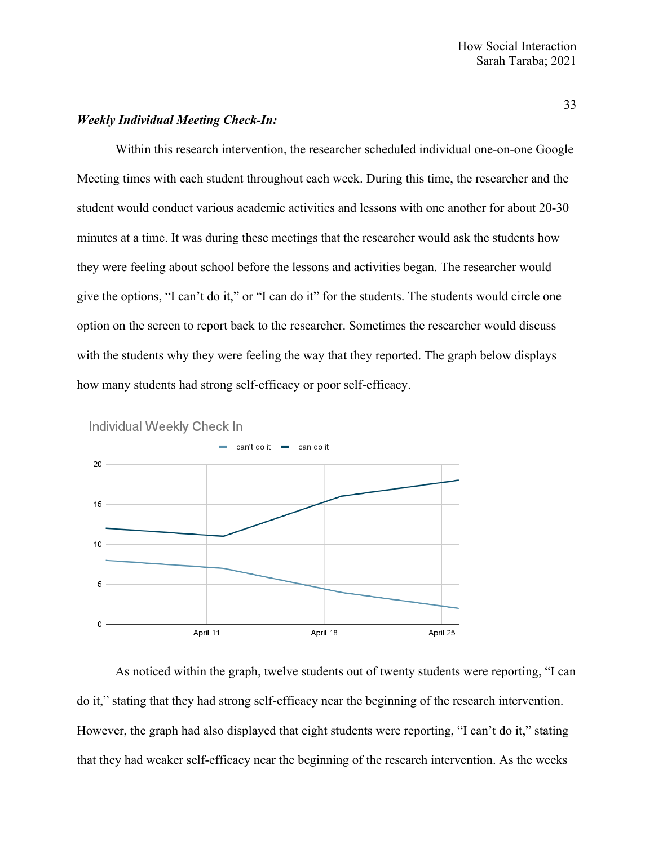# *Weekly Individual Meeting Check-In:*

Within this research intervention, the researcher scheduled individual one-on-one Google Meeting times with each student throughout each week. During this time, the researcher and the student would conduct various academic activities and lessons with one another for about 20-30 minutes at a time. It was during these meetings that the researcher would ask the students how they were feeling about school before the lessons and activities began. The researcher would give the options, "I can't do it," or "I can do it" for the students. The students would circle one option on the screen to report back to the researcher. Sometimes the researcher would discuss with the students why they were feeling the way that they reported. The graph below displays how many students had strong self-efficacy or poor self-efficacy.



As noticed within the graph, twelve students out of twenty students were reporting, "I can do it," stating that they had strong self-efficacy near the beginning of the research intervention. However, the graph had also displayed that eight students were reporting, "I can't do it," stating that they had weaker self-efficacy near the beginning of the research intervention. As the weeks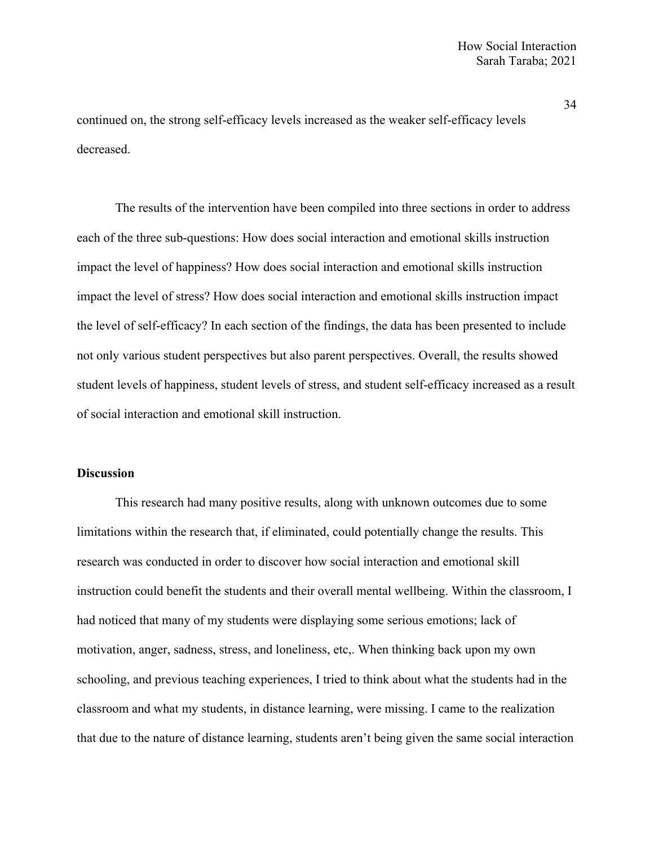continued on, the strong self-efficacy levels increased as the weaker self-efficacy levels decreased.

The results of the intervention have been compiled into three sections in order to address each of the three sub-questions: How does social interaction and emotional skills instruction impact the level of happiness? How does social interaction and emotional skills instruction impact the level of stress? How does social interaction and emotional skills instruction impact the level of self-efficacy? In each section of the findings, the data has been presented to include not only various student perspectives but also parent perspectives. Overall, the results showed student levels of happiness, student levels of stress, and student self-efficacy increased as a result of social interaction and emotional skill instruction.

# **Discussion**

This research had many positive results, along with unknown outcomes due to some limitations within the research that, if eliminated, could potentially change the results. This research was conducted in order to discover how social interaction and emotional skill instruction could benefit the students and their overall mental wellbeing. Within the classroom, I had noticed that many of my students were displaying some serious emotions; lack of motivation, anger, sadness, stress, and loneliness, etc,. When thinking back upon my own schooling, and previous teaching experiences, I tried to think about what the students had in the classroom and what my students, in distance learning, were missing. I came to the realization that due to the nature of distance learning, students aren't being given the same social interaction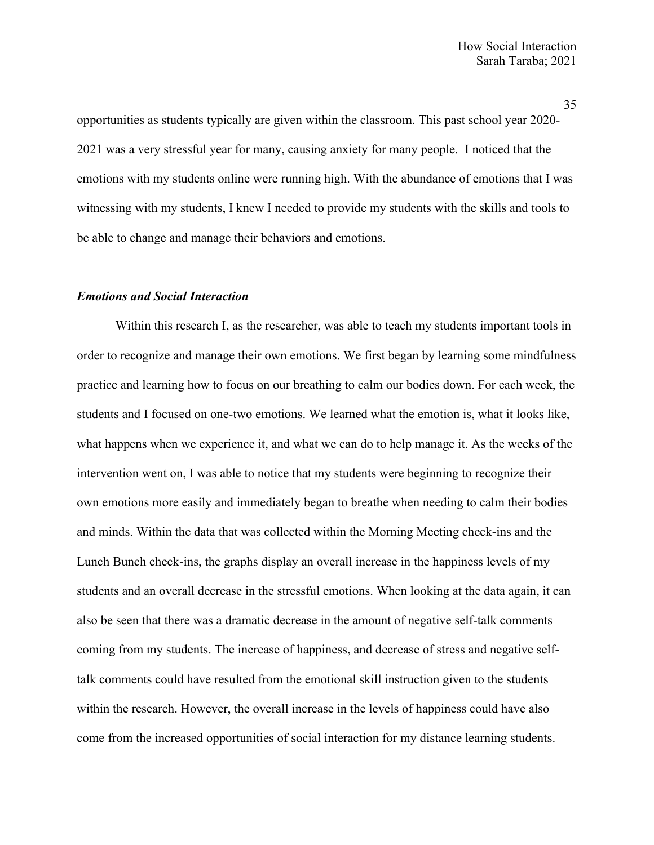opportunities as students typically are given within the classroom. This past school year 2020- 2021 was a very stressful year for many, causing anxiety for many people. I noticed that the emotions with my students online were running high. With the abundance of emotions that I was witnessing with my students, I knew I needed to provide my students with the skills and tools to be able to change and manage their behaviors and emotions.

### *Emotions and Social Interaction*

Within this research I, as the researcher, was able to teach my students important tools in order to recognize and manage their own emotions. We first began by learning some mindfulness practice and learning how to focus on our breathing to calm our bodies down. For each week, the students and I focused on one-two emotions. We learned what the emotion is, what it looks like, what happens when we experience it, and what we can do to help manage it. As the weeks of the intervention went on, I was able to notice that my students were beginning to recognize their own emotions more easily and immediately began to breathe when needing to calm their bodies and minds. Within the data that was collected within the Morning Meeting check-ins and the Lunch Bunch check-ins, the graphs display an overall increase in the happiness levels of my students and an overall decrease in the stressful emotions. When looking at the data again, it can also be seen that there was a dramatic decrease in the amount of negative self-talk comments coming from my students. The increase of happiness, and decrease of stress and negative selftalk comments could have resulted from the emotional skill instruction given to the students within the research. However, the overall increase in the levels of happiness could have also come from the increased opportunities of social interaction for my distance learning students.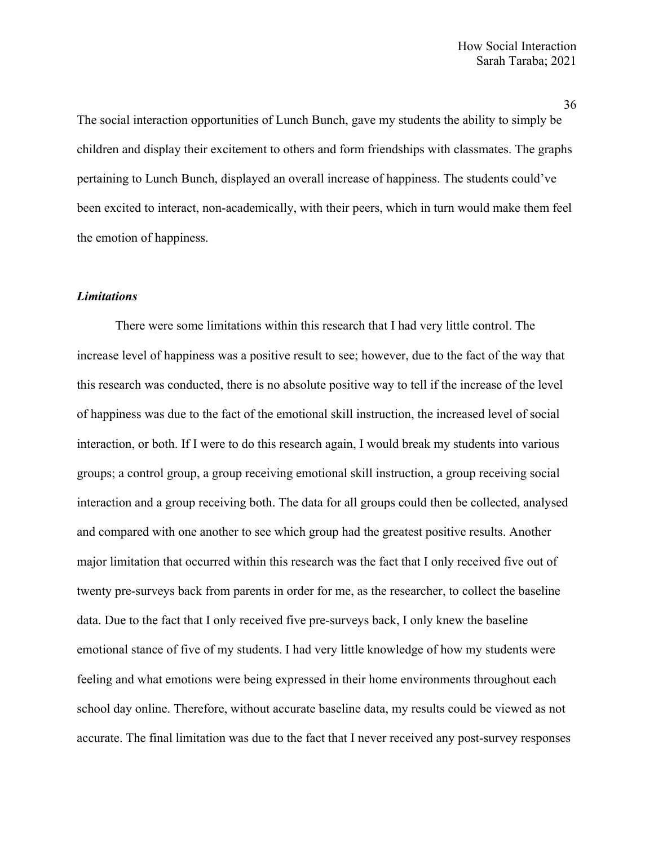The social interaction opportunities of Lunch Bunch, gave my students the ability to simply be children and display their excitement to others and form friendships with classmates. The graphs pertaining to Lunch Bunch, displayed an overall increase of happiness. The students could've been excited to interact, non-academically, with their peers, which in turn would make them feel the emotion of happiness.

# *Limitations*

There were some limitations within this research that I had very little control. The increase level of happiness was a positive result to see; however, due to the fact of the way that this research was conducted, there is no absolute positive way to tell if the increase of the level of happiness was due to the fact of the emotional skill instruction, the increased level of social interaction, or both. If I were to do this research again, I would break my students into various groups; a control group, a group receiving emotional skill instruction, a group receiving social interaction and a group receiving both. The data for all groups could then be collected, analysed and compared with one another to see which group had the greatest positive results. Another major limitation that occurred within this research was the fact that I only received five out of twenty pre-surveys back from parents in order for me, as the researcher, to collect the baseline data. Due to the fact that I only received five pre-surveys back, I only knew the baseline emotional stance of five of my students. I had very little knowledge of how my students were feeling and what emotions were being expressed in their home environments throughout each school day online. Therefore, without accurate baseline data, my results could be viewed as not accurate. The final limitation was due to the fact that I never received any post-survey responses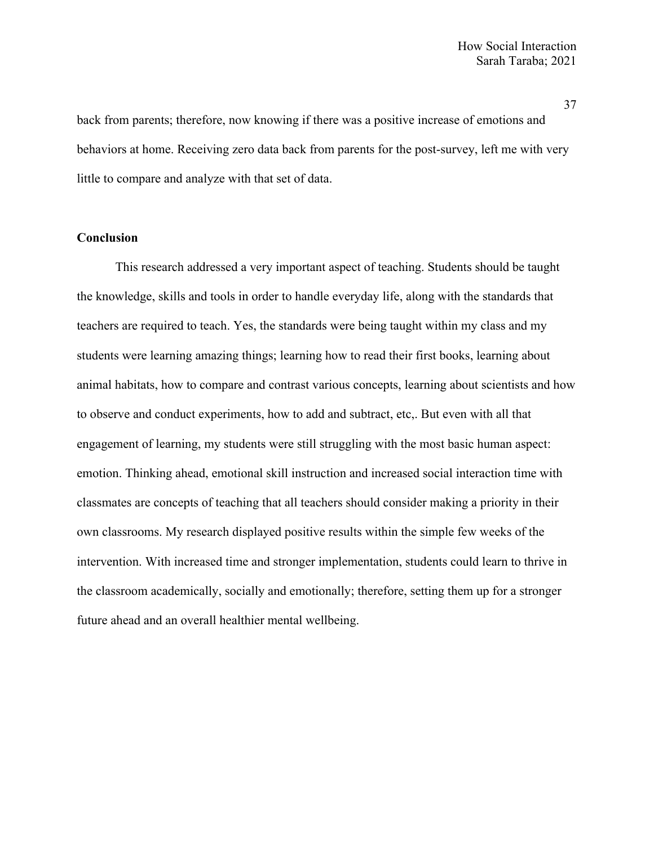back from parents; therefore, now knowing if there was a positive increase of emotions and behaviors at home. Receiving zero data back from parents for the post-survey, left me with very little to compare and analyze with that set of data.

# **Conclusion**

This research addressed a very important aspect of teaching. Students should be taught the knowledge, skills and tools in order to handle everyday life, along with the standards that teachers are required to teach. Yes, the standards were being taught within my class and my students were learning amazing things; learning how to read their first books, learning about animal habitats, how to compare and contrast various concepts, learning about scientists and how to observe and conduct experiments, how to add and subtract, etc,. But even with all that engagement of learning, my students were still struggling with the most basic human aspect: emotion. Thinking ahead, emotional skill instruction and increased social interaction time with classmates are concepts of teaching that all teachers should consider making a priority in their own classrooms. My research displayed positive results within the simple few weeks of the intervention. With increased time and stronger implementation, students could learn to thrive in the classroom academically, socially and emotionally; therefore, setting them up for a stronger future ahead and an overall healthier mental wellbeing.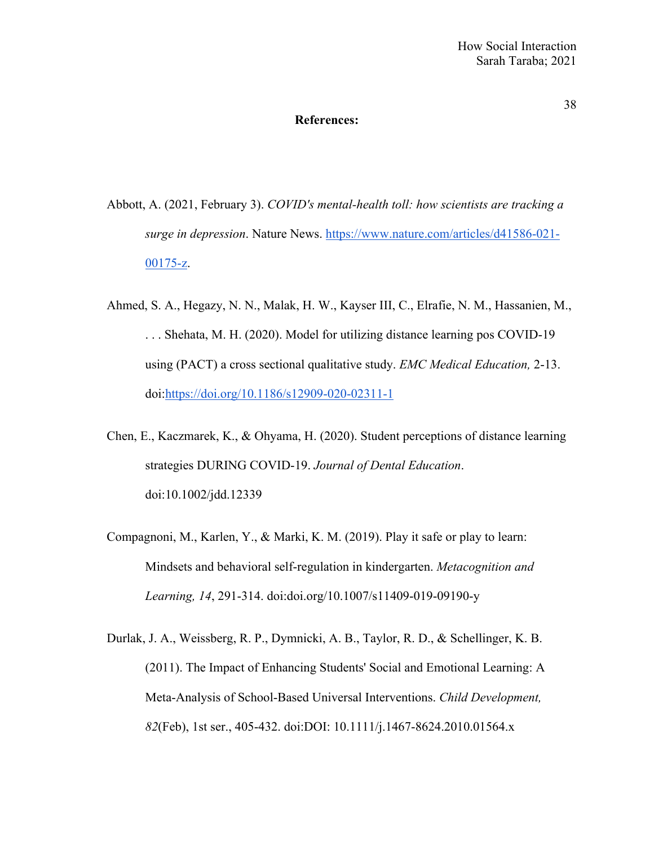### **References:**

- Abbott, A. (2021, February 3). *COVID's mental-health toll: how scientists are tracking a surge in depression*. Nature News. https://www.nature.com/articles/d41586-021- 00175-z.
- Ahmed, S. A., Hegazy, N. N., Malak, H. W., Kayser III, C., Elrafie, N. M., Hassanien, M., . . . Shehata, M. H. (2020). Model for utilizing distance learning pos COVID-19 using (PACT) a cross sectional qualitative study. *EMC Medical Education,* 2-13. doi:https://doi.org/10.1186/s12909-020-02311-1
- Chen, E., Kaczmarek, K., & Ohyama, H. (2020). Student perceptions of distance learning strategies DURING COVID‐19. *Journal of Dental Education*. doi:10.1002/jdd.12339
- Compagnoni, M., Karlen, Y., & Marki, K. M. (2019). Play it safe or play to learn: Mindsets and behavioral self-regulation in kindergarten. *Metacognition and Learning, 14*, 291-314. doi:doi.org/10.1007/s11409-019-09190-y
- Durlak, J. A., Weissberg, R. P., Dymnicki, A. B., Taylor, R. D., & Schellinger, K. B. (2011). The Impact of Enhancing Students' Social and Emotional Learning: A Meta-Analysis of School-Based Universal Interventions. *Child Development, 82*(Feb), 1st ser., 405-432. doi:DOI: 10.1111/j.1467-8624.2010.01564.x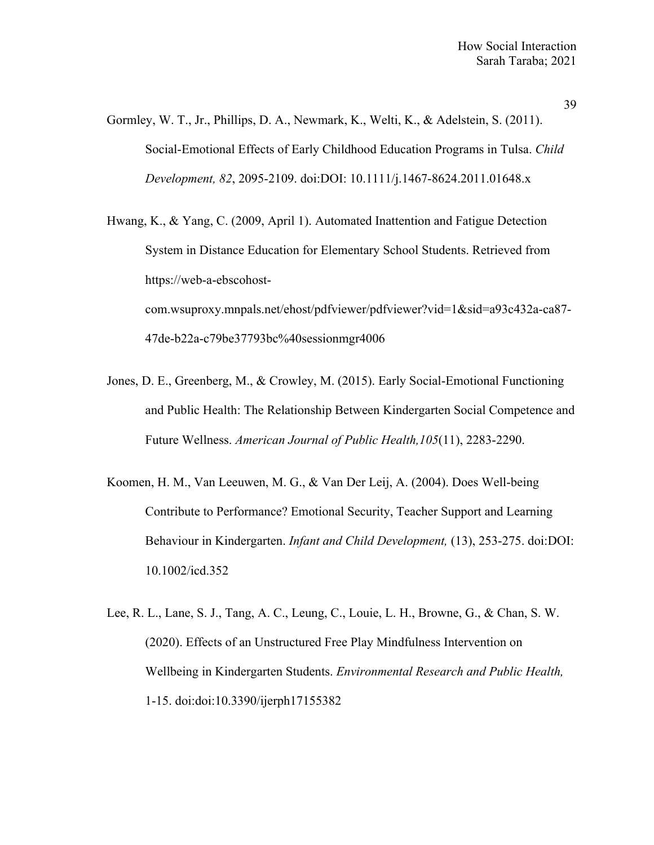- Gormley, W. T., Jr., Phillips, D. A., Newmark, K., Welti, K., & Adelstein, S. (2011). Social-Emotional Effects of Early Childhood Education Programs in Tulsa. *Child Development, 82*, 2095-2109. doi:DOI: 10.1111/j.1467-8624.2011.01648.x
- Hwang, K., & Yang, C. (2009, April 1). Automated Inattention and Fatigue Detection System in Distance Education for Elementary School Students. Retrieved from https://web-a-ebscohostcom.wsuproxy.mnpals.net/ehost/pdfviewer/pdfviewer?vid=1&sid=a93c432a-ca87- 47de-b22a-c79be37793bc%40sessionmgr4006
- Jones, D. E., Greenberg, M., & Crowley, M. (2015). Early Social-Emotional Functioning and Public Health: The Relationship Between Kindergarten Social Competence and Future Wellness. *American Journal of Public Health,105*(11), 2283-2290.
- Koomen, H. M., Van Leeuwen, M. G., & Van Der Leij, A. (2004). Does Well-being Contribute to Performance? Emotional Security, Teacher Support and Learning Behaviour in Kindergarten. *Infant and Child Development,* (13), 253-275. doi:DOI: 10.1002/icd.352
- Lee, R. L., Lane, S. J., Tang, A. C., Leung, C., Louie, L. H., Browne, G., & Chan, S. W. (2020). Effects of an Unstructured Free Play Mindfulness Intervention on Wellbeing in Kindergarten Students. *Environmental Research and Public Health,* 1-15. doi:doi:10.3390/ijerph17155382